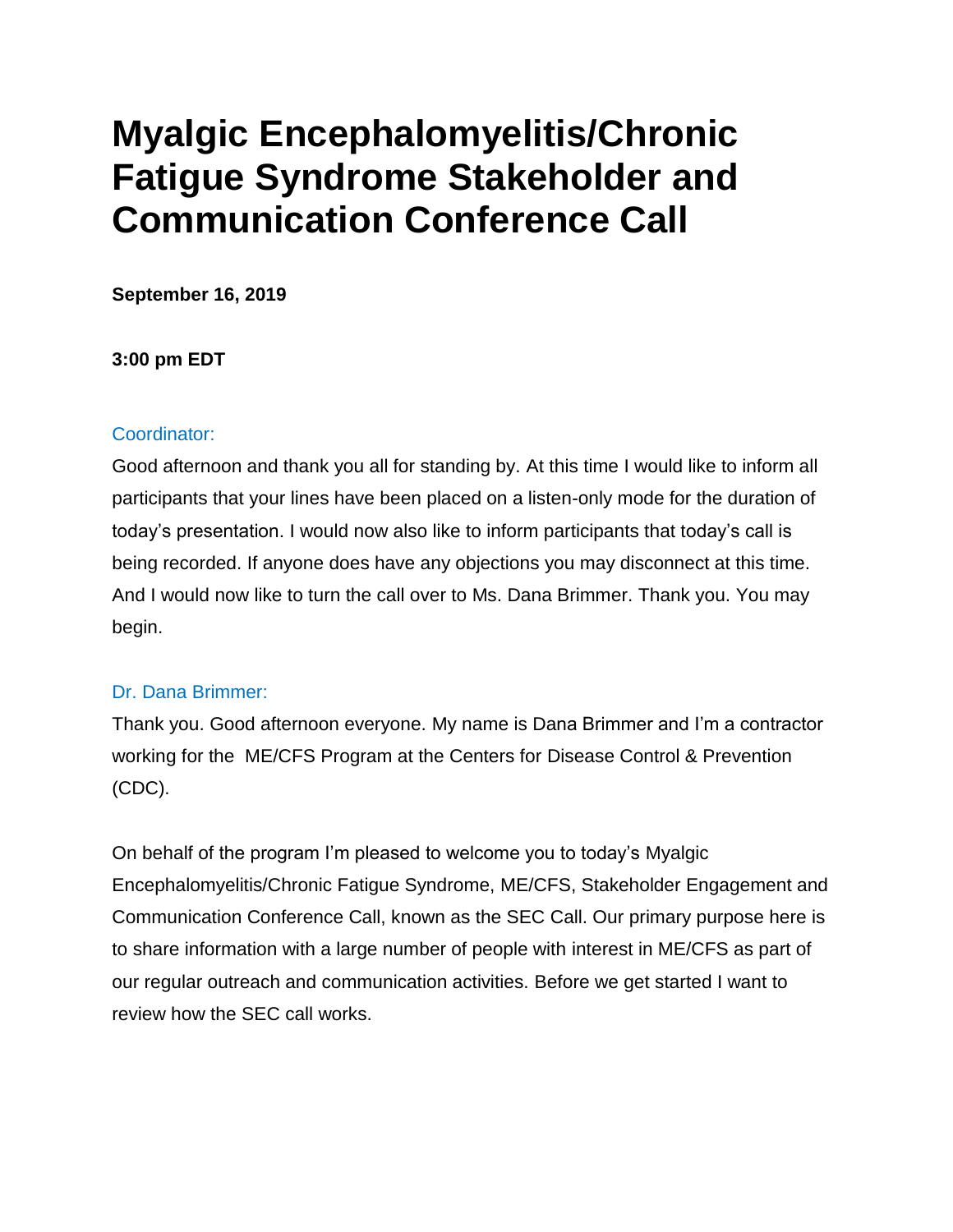# **Myalgic Encephalomyelitis/Chronic Fatigue Syndrome Stakeholder and Communication Conference Call**

**September 16, 2019**

# **3:00 pm EDT**

## Coordinator:

Good afternoon and thank you all for standing by. At this time I would like to inform all participants that your lines have been placed on a listen-only mode for the duration of today's presentation. I would now also like to inform participants that today's call is being recorded. If anyone does have any objections you may disconnect at this time. And I would now like to turn the call over to Ms. Dana Brimmer. Thank you. You may begin.

# Dr. Dana Brimmer:

Thank you. Good afternoon everyone. My name is Dana Brimmer and I'm a contractor working for the ME/CFS Program at the Centers for Disease Control & Prevention (CDC).

On behalf of the program I'm pleased to welcome you to today's Myalgic Encephalomyelitis/Chronic Fatigue Syndrome, ME/CFS, Stakeholder Engagement and Communication Conference Call, known as the SEC Call. Our primary purpose here is to share information with a large number of people with interest in ME/CFS as part of our regular outreach and communication activities. Before we get started I want to review how the SEC call works.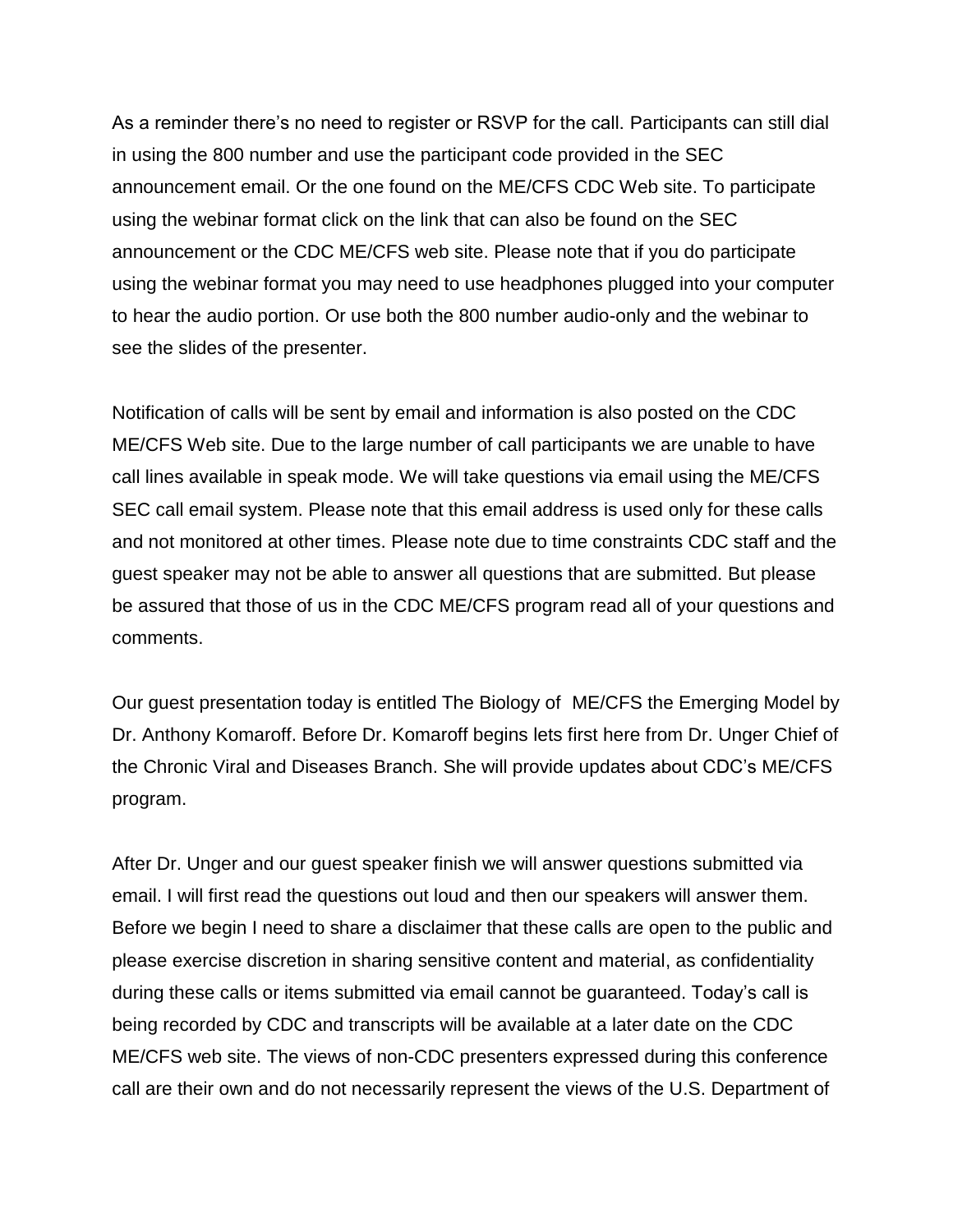As a reminder there's no need to register or RSVP for the call. Participants can still dial in using the 800 number and use the participant code provided in the SEC announcement email. Or the one found on the ME/CFS CDC Web site. To participate using the webinar format click on the link that can also be found on the SEC announcement or the CDC ME/CFS web site. Please note that if you do participate using the webinar format you may need to use headphones plugged into your computer to hear the audio portion. Or use both the 800 number audio-only and the webinar to see the slides of the presenter.

Notification of calls will be sent by email and information is also posted on the CDC ME/CFS Web site. Due to the large number of call participants we are unable to have call lines available in speak mode. We will take questions via email using the ME/CFS SEC call email system. Please note that this email address is used only for these calls and not monitored at other times. Please note due to time constraints CDC staff and the guest speaker may not be able to answer all questions that are submitted. But please be assured that those of us in the CDC ME/CFS program read all of your questions and comments.

Our guest presentation today is entitled The Biology of ME/CFS the Emerging Model by Dr. Anthony Komaroff. Before Dr. Komaroff begins lets first here from Dr. Unger Chief of the Chronic Viral and Diseases Branch. She will provide updates about CDC's ME/CFS program.

After Dr. Unger and our guest speaker finish we will answer questions submitted via email. I will first read the questions out loud and then our speakers will answer them. Before we begin I need to share a disclaimer that these calls are open to the public and please exercise discretion in sharing sensitive content and material, as confidentiality during these calls or items submitted via email cannot be guaranteed. Today's call is being recorded by CDC and transcripts will be available at a later date on the CDC ME/CFS web site. The views of non-CDC presenters expressed during this conference call are their own and do not necessarily represent the views of the U.S. Department of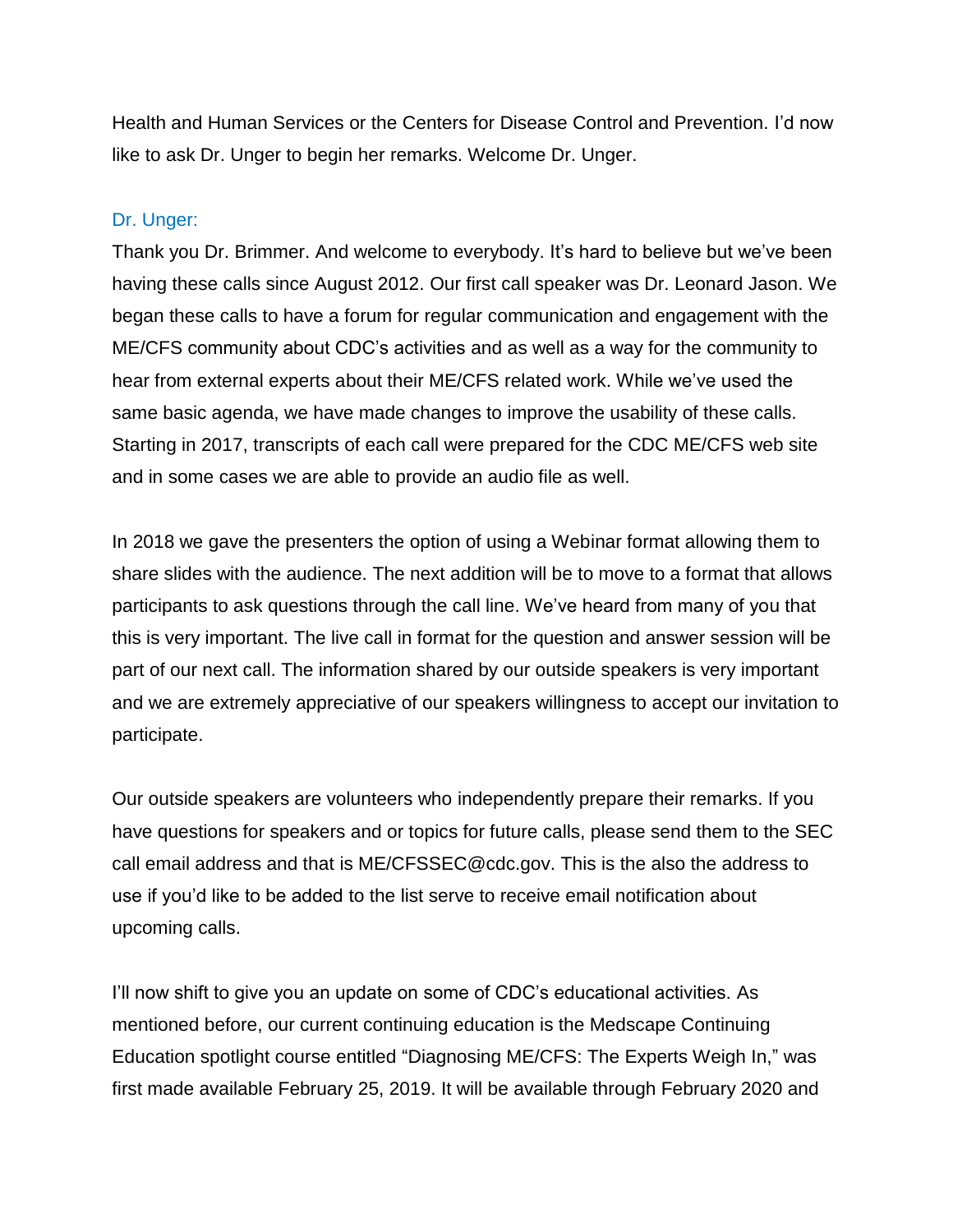Health and Human Services or the Centers for Disease Control and Prevention. I'd now like to ask Dr. Unger to begin her remarks. Welcome Dr. Unger.

#### Dr. Unger:

Thank you Dr. Brimmer. And welcome to everybody. It's hard to believe but we've been having these calls since August 2012. Our first call speaker was Dr. Leonard Jason. We began these calls to have a forum for regular communication and engagement with the ME/CFS community about CDC's activities and as well as a way for the community to hear from external experts about their ME/CFS related work. While we've used the same basic agenda, we have made changes to improve the usability of these calls. Starting in 2017, transcripts of each call were prepared for the CDC ME/CFS web site and in some cases we are able to provide an audio file as well.

In 2018 we gave the presenters the option of using a Webinar format allowing them to share slides with the audience. The next addition will be to move to a format that allows participants to ask questions through the call line. We've heard from many of you that this is very important. The live call in format for the question and answer session will be part of our next call. The information shared by our outside speakers is very important and we are extremely appreciative of our speakers willingness to accept our invitation to participate.

Our outside speakers are volunteers who independently prepare their remarks. If you have questions for speakers and or topics for future calls, please send them to the SEC call email address and that is ME/CFSSEC@cdc.gov. This is the also the address to use if you'd like to be added to the list serve to receive email notification about upcoming calls.

I'll now shift to give you an update on some of CDC's educational activities. As mentioned before, our current continuing education is the Medscape Continuing Education spotlight course entitled "Diagnosing ME/CFS: The Experts Weigh In," was first made available February 25, 2019. It will be available through February 2020 and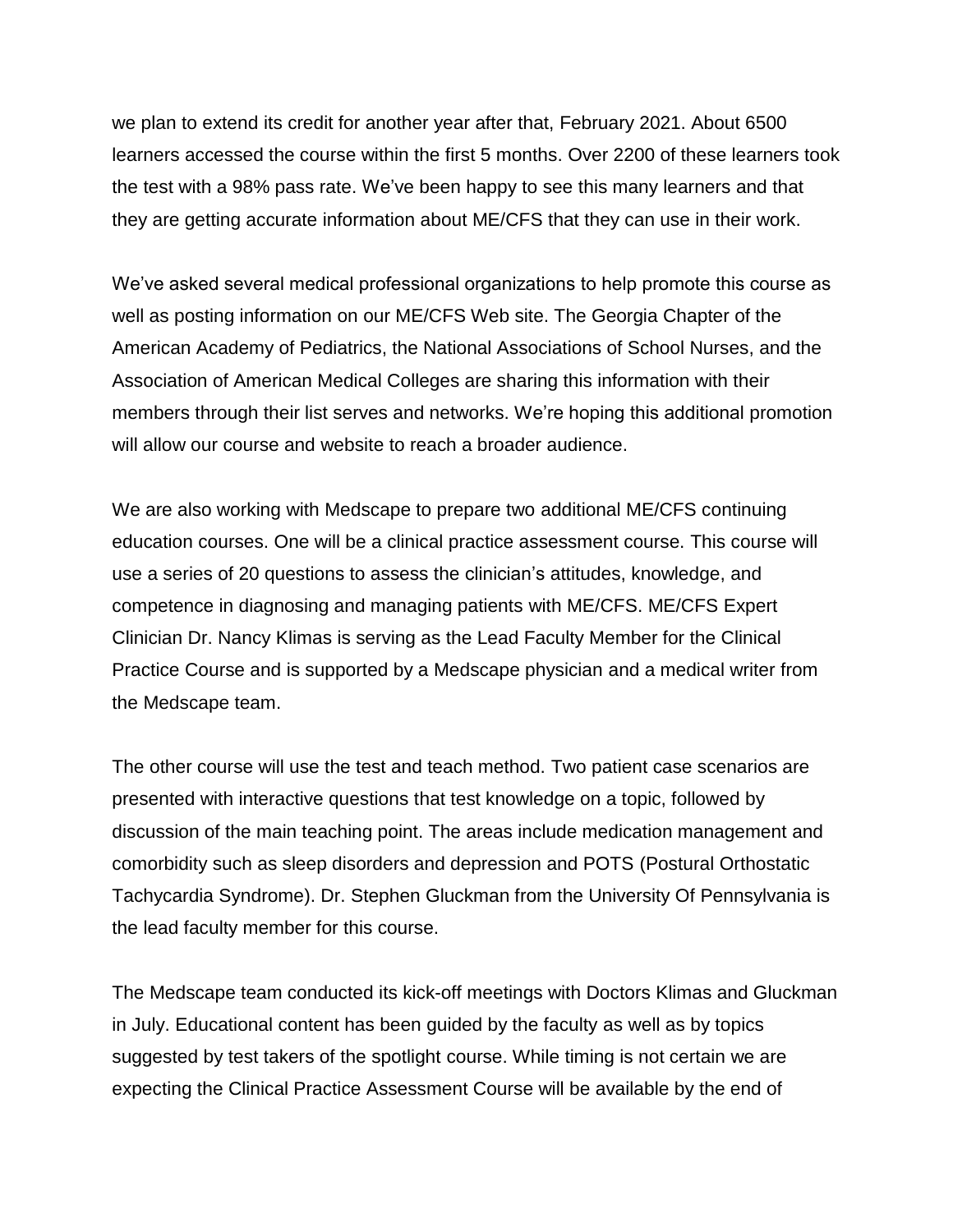we plan to extend its credit for another year after that, February 2021. About 6500 learners accessed the course within the first 5 months. Over 2200 of these learners took the test with a 98% pass rate. We've been happy to see this many learners and that they are getting accurate information about ME/CFS that they can use in their work.

We've asked several medical professional organizations to help promote this course as well as posting information on our ME/CFS Web site. The Georgia Chapter of the American Academy of Pediatrics, the National Associations of School Nurses, and the Association of American Medical Colleges are sharing this information with their members through their list serves and networks. We're hoping this additional promotion will allow our course and website to reach a broader audience.

We are also working with Medscape to prepare two additional ME/CFS continuing education courses. One will be a clinical practice assessment course. This course will use a series of 20 questions to assess the clinician's attitudes, knowledge, and competence in diagnosing and managing patients with ME/CFS. ME/CFS Expert Clinician Dr. Nancy Klimas is serving as the Lead Faculty Member for the Clinical Practice Course and is supported by a Medscape physician and a medical writer from the Medscape team.

The other course will use the test and teach method. Two patient case scenarios are presented with interactive questions that test knowledge on a topic, followed by discussion of the main teaching point. The areas include medication management and comorbidity such as sleep disorders and depression and POTS (Postural Orthostatic Tachycardia Syndrome). Dr. Stephen Gluckman from the University Of Pennsylvania is the lead faculty member for this course.

The Medscape team conducted its kick-off meetings with Doctors Klimas and Gluckman in July. Educational content has been guided by the faculty as well as by topics suggested by test takers of the spotlight course. While timing is not certain we are expecting the Clinical Practice Assessment Course will be available by the end of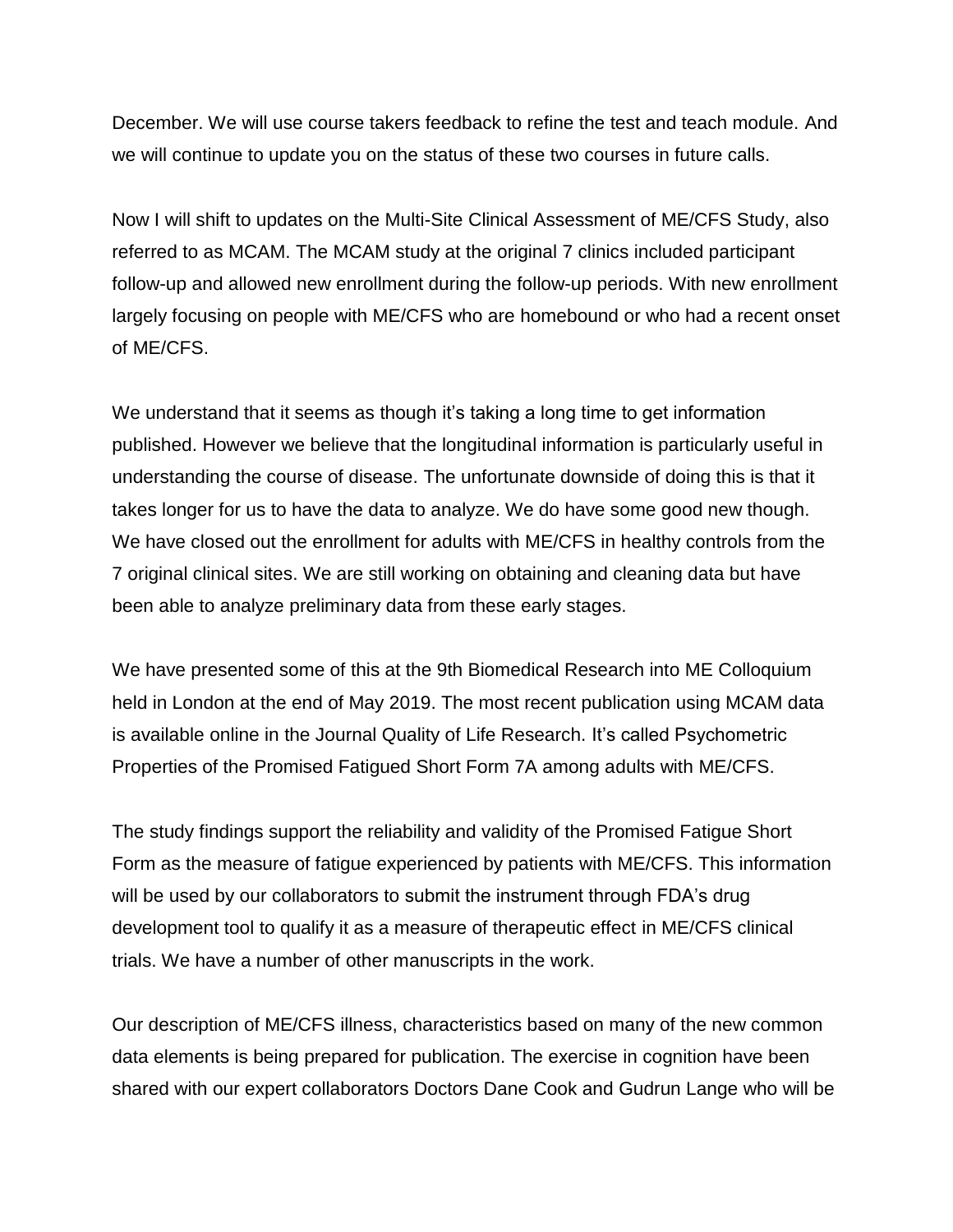December. We will use course takers feedback to refine the test and teach module. And we will continue to update you on the status of these two courses in future calls.

Now I will shift to updates on the Multi-Site Clinical Assessment of ME/CFS Study, also referred to as MCAM. The MCAM study at the original 7 clinics included participant follow-up and allowed new enrollment during the follow-up periods. With new enrollment largely focusing on people with ME/CFS who are homebound or who had a recent onset of ME/CFS.

We understand that it seems as though it's taking a long time to get information published. However we believe that the longitudinal information is particularly useful in understanding the course of disease. The unfortunate downside of doing this is that it takes longer for us to have the data to analyze. We do have some good new though. We have closed out the enrollment for adults with ME/CFS in healthy controls from the 7 original clinical sites. We are still working on obtaining and cleaning data but have been able to analyze preliminary data from these early stages.

We have presented some of this at the 9th Biomedical Research into ME Colloquium held in London at the end of May 2019. The most recent publication using MCAM data is available online in the Journal Quality of Life Research. It's called Psychometric Properties of the Promised Fatigued Short Form 7A among adults with ME/CFS.

The study findings support the reliability and validity of the Promised Fatigue Short Form as the measure of fatigue experienced by patients with ME/CFS. This information will be used by our collaborators to submit the instrument through FDA's drug development tool to qualify it as a measure of therapeutic effect in ME/CFS clinical trials. We have a number of other manuscripts in the work.

Our description of ME/CFS illness, characteristics based on many of the new common data elements is being prepared for publication. The exercise in cognition have been shared with our expert collaborators Doctors Dane Cook and Gudrun Lange who will be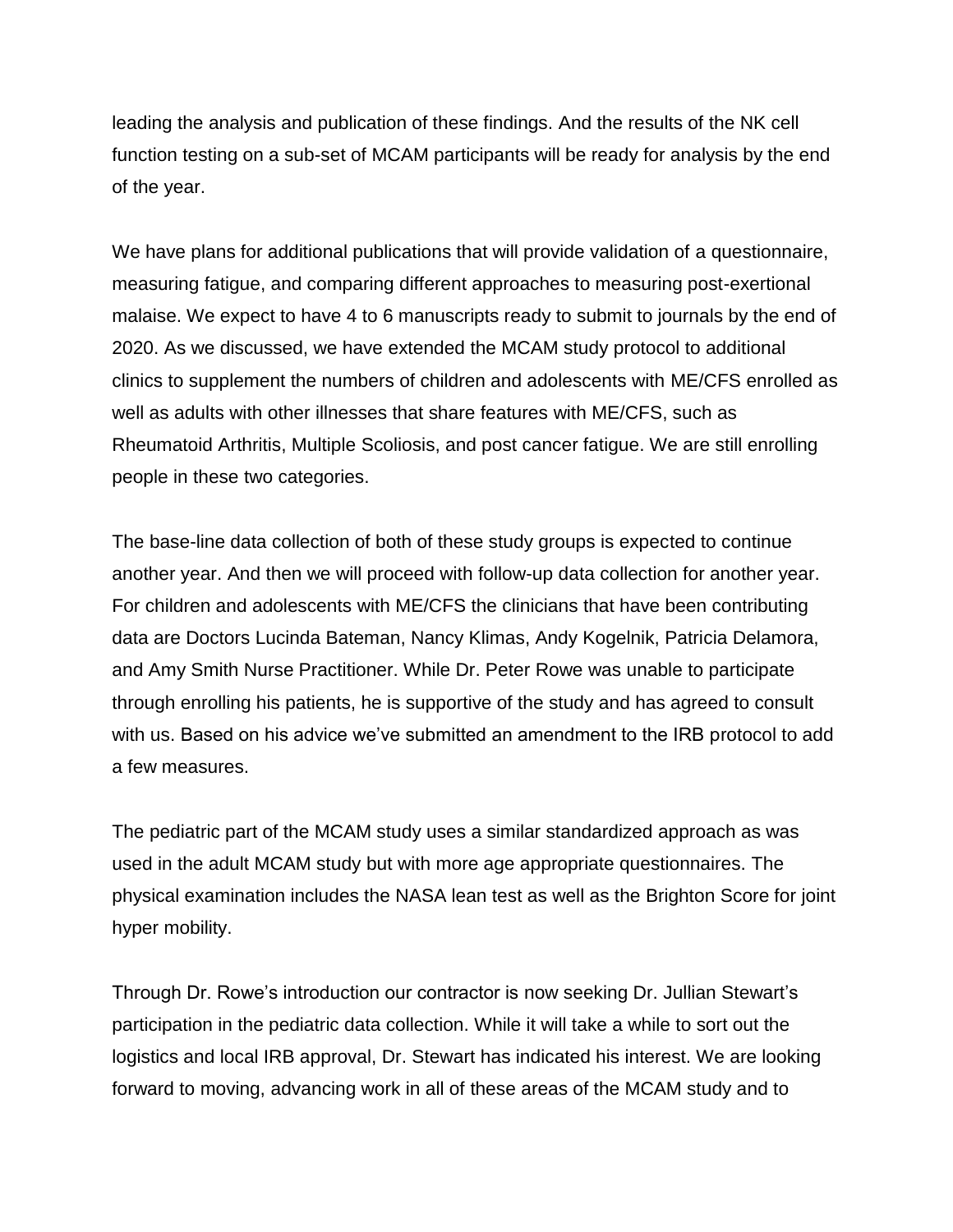leading the analysis and publication of these findings. And the results of the NK cell function testing on a sub-set of MCAM participants will be ready for analysis by the end of the year.

We have plans for additional publications that will provide validation of a questionnaire, measuring fatigue, and comparing different approaches to measuring post-exertional malaise. We expect to have 4 to 6 manuscripts ready to submit to journals by the end of 2020. As we discussed, we have extended the MCAM study protocol to additional clinics to supplement the numbers of children and adolescents with ME/CFS enrolled as well as adults with other illnesses that share features with ME/CFS, such as Rheumatoid Arthritis, Multiple Scoliosis, and post cancer fatigue. We are still enrolling people in these two categories.

The base-line data collection of both of these study groups is expected to continue another year. And then we will proceed with follow-up data collection for another year. For children and adolescents with ME/CFS the clinicians that have been contributing data are Doctors Lucinda Bateman, Nancy Klimas, Andy Kogelnik, Patricia Delamora, and Amy Smith Nurse Practitioner. While Dr. Peter Rowe was unable to participate through enrolling his patients, he is supportive of the study and has agreed to consult with us. Based on his advice we've submitted an amendment to the IRB protocol to add a few measures.

The pediatric part of the MCAM study uses a similar standardized approach as was used in the adult MCAM study but with more age appropriate questionnaires. The physical examination includes the NASA lean test as well as the Brighton Score for joint hyper mobility.

Through Dr. Rowe's introduction our contractor is now seeking Dr. Jullian Stewart's participation in the pediatric data collection. While it will take a while to sort out the logistics and local IRB approval, Dr. Stewart has indicated his interest. We are looking forward to moving, advancing work in all of these areas of the MCAM study and to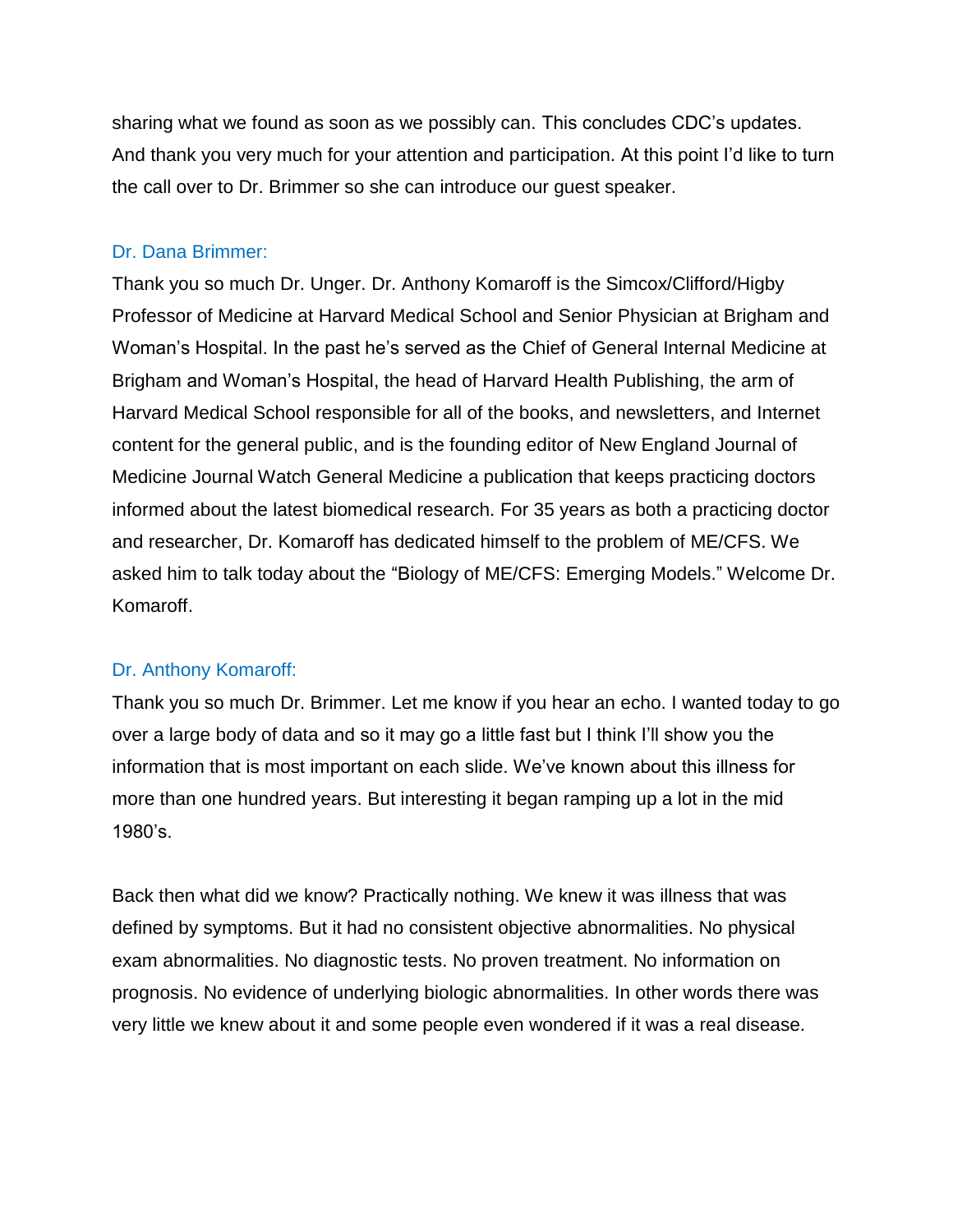sharing what we found as soon as we possibly can. This concludes CDC's updates. And thank you very much for your attention and participation. At this point I'd like to turn the call over to Dr. Brimmer so she can introduce our guest speaker.

#### Dr. Dana Brimmer:

Thank you so much Dr. Unger. Dr. Anthony Komaroff is the Simcox/Clifford/Higby Professor of Medicine at Harvard Medical School and Senior Physician at Brigham and Woman's Hospital. In the past he's served as the Chief of General Internal Medicine at Brigham and Woman's Hospital, the head of Harvard Health Publishing, the arm of Harvard Medical School responsible for all of the books, and newsletters, and Internet content for the general public, and is the founding editor of New England Journal of Medicine Journal Watch General Medicine a publication that keeps practicing doctors informed about the latest biomedical research. For 35 years as both a practicing doctor and researcher, Dr. Komaroff has dedicated himself to the problem of ME/CFS. We asked him to talk today about the "Biology of ME/CFS: Emerging Models." Welcome Dr. Komaroff.

# Dr. Anthony Komaroff:

Thank you so much Dr. Brimmer. Let me know if you hear an echo. I wanted today to go over a large body of data and so it may go a little fast but I think I'll show you the information that is most important on each slide. We've known about this illness for more than one hundred years. But interesting it began ramping up a lot in the mid 1980's.

Back then what did we know? Practically nothing. We knew it was illness that was defined by symptoms. But it had no consistent objective abnormalities. No physical exam abnormalities. No diagnostic tests. No proven treatment. No information on prognosis. No evidence of underlying biologic abnormalities. In other words there was very little we knew about it and some people even wondered if it was a real disease.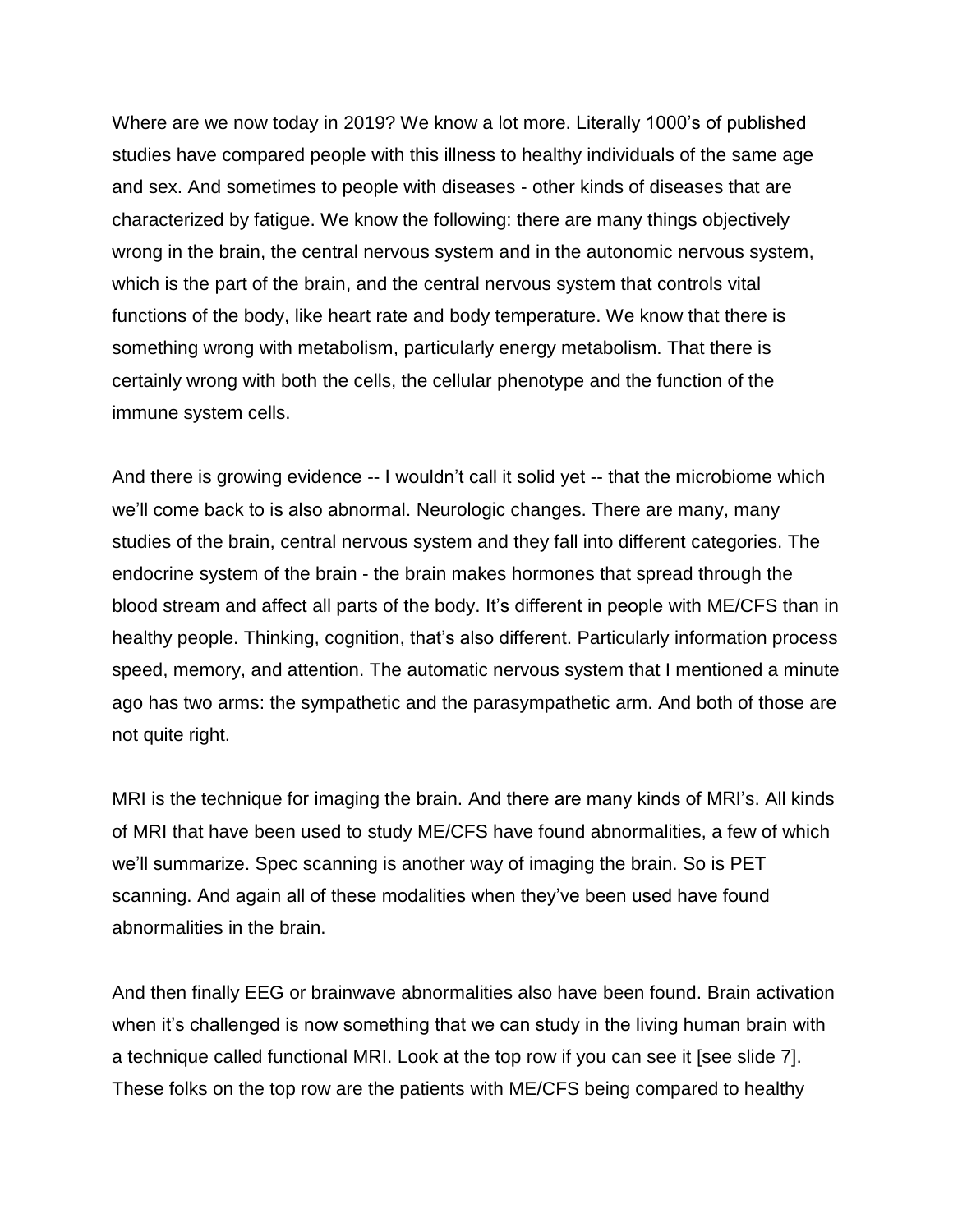Where are we now today in 2019? We know a lot more. Literally 1000's of published studies have compared people with this illness to healthy individuals of the same age and sex. And sometimes to people with diseases - other kinds of diseases that are characterized by fatigue. We know the following: there are many things objectively wrong in the brain, the central nervous system and in the autonomic nervous system, which is the part of the brain, and the central nervous system that controls vital functions of the body, like heart rate and body temperature. We know that there is something wrong with metabolism, particularly energy metabolism. That there is certainly wrong with both the cells, the cellular phenotype and the function of the immune system cells.

And there is growing evidence -- I wouldn't call it solid yet -- that the microbiome which we'll come back to is also abnormal. Neurologic changes. There are many, many studies of the brain, central nervous system and they fall into different categories. The endocrine system of the brain - the brain makes hormones that spread through the blood stream and affect all parts of the body. It's different in people with ME/CFS than in healthy people. Thinking, cognition, that's also different. Particularly information process speed, memory, and attention. The automatic nervous system that I mentioned a minute ago has two arms: the sympathetic and the parasympathetic arm. And both of those are not quite right.

MRI is the technique for imaging the brain. And there are many kinds of MRI's. All kinds of MRI that have been used to study ME/CFS have found abnormalities, a few of which we'll summarize. Spec scanning is another way of imaging the brain. So is PET scanning. And again all of these modalities when they've been used have found abnormalities in the brain.

And then finally EEG or brainwave abnormalities also have been found. Brain activation when it's challenged is now something that we can study in the living human brain with a technique called functional MRI. Look at the top row if you can see it [see slide 7]. These folks on the top row are the patients with ME/CFS being compared to healthy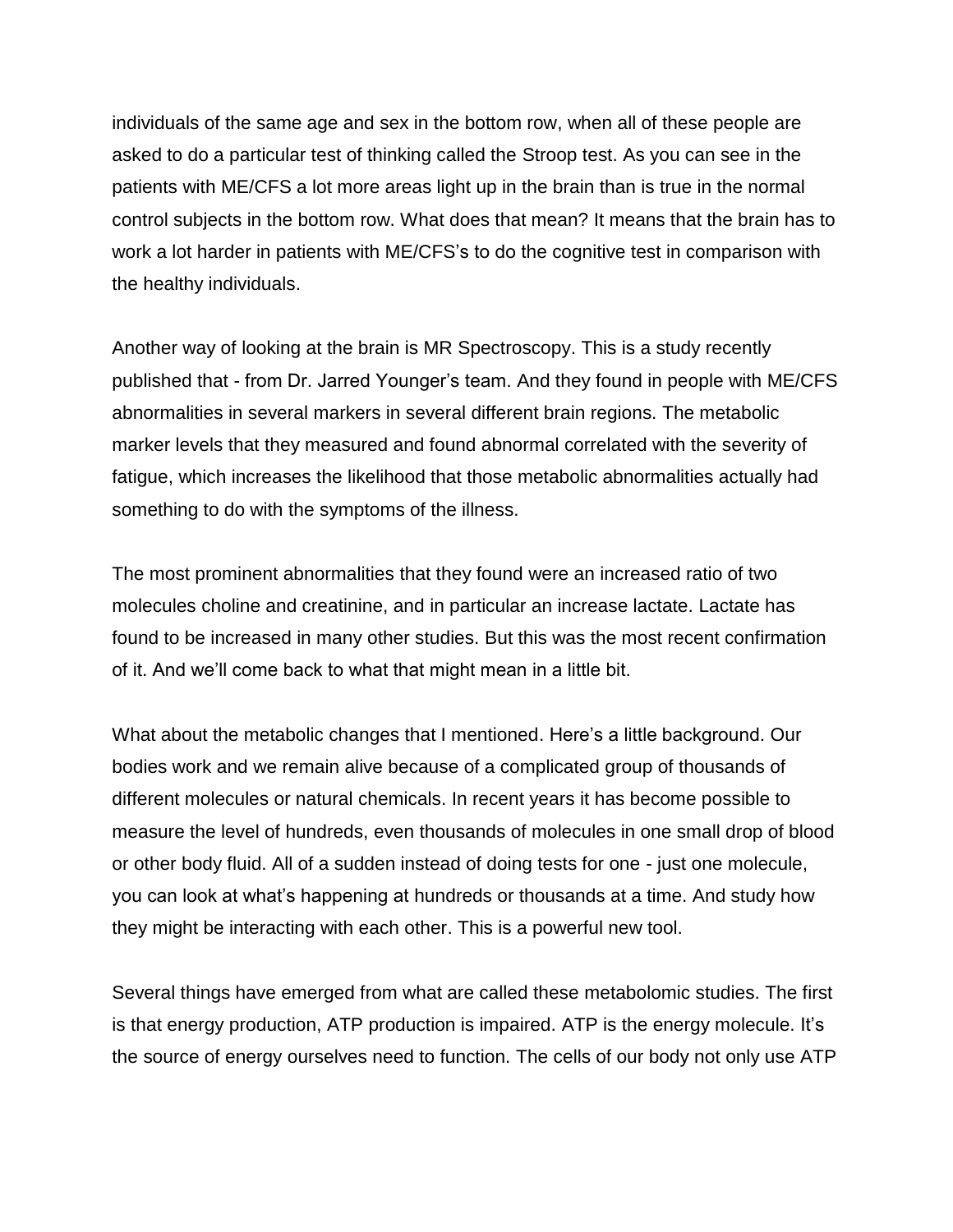individuals of the same age and sex in the bottom row, when all of these people are asked to do a particular test of thinking called the Stroop test. As you can see in the patients with ME/CFS a lot more areas light up in the brain than is true in the normal control subjects in the bottom row. What does that mean? It means that the brain has to work a lot harder in patients with ME/CFS's to do the cognitive test in comparison with the healthy individuals.

Another way of looking at the brain is MR Spectroscopy. This is a study recently published that - from Dr. Jarred Younger's team. And they found in people with ME/CFS abnormalities in several markers in several different brain regions. The metabolic marker levels that they measured and found abnormal correlated with the severity of fatigue, which increases the likelihood that those metabolic abnormalities actually had something to do with the symptoms of the illness.

The most prominent abnormalities that they found were an increased ratio of two molecules choline and creatinine, and in particular an increase lactate. Lactate has found to be increased in many other studies. But this was the most recent confirmation of it. And we'll come back to what that might mean in a little bit.

What about the metabolic changes that I mentioned. Here's a little background. Our bodies work and we remain alive because of a complicated group of thousands of different molecules or natural chemicals. In recent years it has become possible to measure the level of hundreds, even thousands of molecules in one small drop of blood or other body fluid. All of a sudden instead of doing tests for one - just one molecule, you can look at what's happening at hundreds or thousands at a time. And study how they might be interacting with each other. This is a powerful new tool.

Several things have emerged from what are called these metabolomic studies. The first is that energy production, ATP production is impaired. ATP is the energy molecule. It's the source of energy ourselves need to function. The cells of our body not only use ATP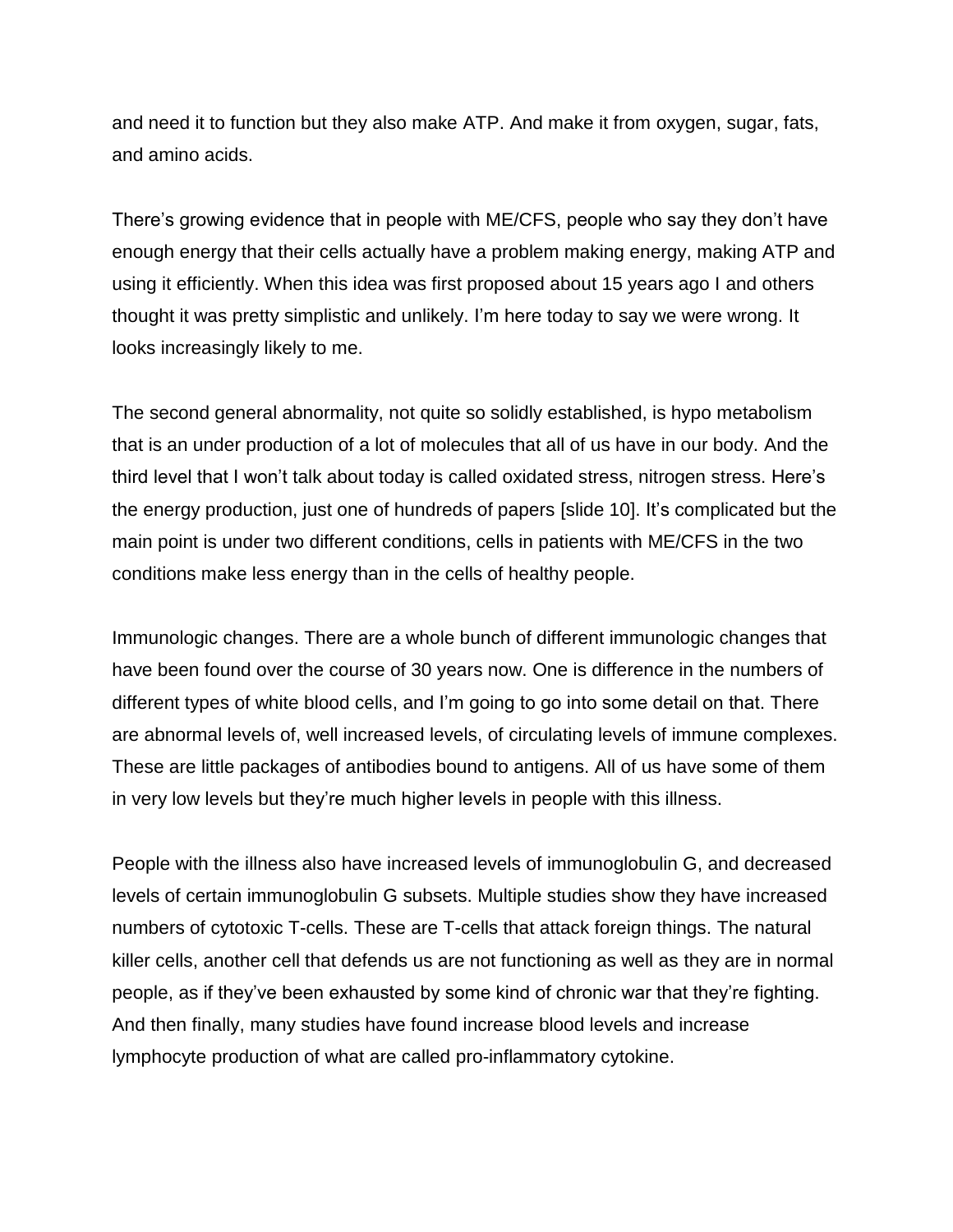and need it to function but they also make ATP. And make it from oxygen, sugar, fats, and amino acids.

There's growing evidence that in people with ME/CFS, people who say they don't have enough energy that their cells actually have a problem making energy, making ATP and using it efficiently. When this idea was first proposed about 15 years ago I and others thought it was pretty simplistic and unlikely. I'm here today to say we were wrong. It looks increasingly likely to me.

The second general abnormality, not quite so solidly established, is hypo metabolism that is an under production of a lot of molecules that all of us have in our body. And the third level that I won't talk about today is called oxidated stress, nitrogen stress. Here's the energy production, just one of hundreds of papers [slide 10]. It's complicated but the main point is under two different conditions, cells in patients with ME/CFS in the two conditions make less energy than in the cells of healthy people.

Immunologic changes. There are a whole bunch of different immunologic changes that have been found over the course of 30 years now. One is difference in the numbers of different types of white blood cells, and I'm going to go into some detail on that. There are abnormal levels of, well increased levels, of circulating levels of immune complexes. These are little packages of antibodies bound to antigens. All of us have some of them in very low levels but they're much higher levels in people with this illness.

People with the illness also have increased levels of immunoglobulin G, and decreased levels of certain immunoglobulin G subsets. Multiple studies show they have increased numbers of cytotoxic T-cells. These are T-cells that attack foreign things. The natural killer cells, another cell that defends us are not functioning as well as they are in normal people, as if they've been exhausted by some kind of chronic war that they're fighting. And then finally, many studies have found increase blood levels and increase lymphocyte production of what are called pro-inflammatory cytokine.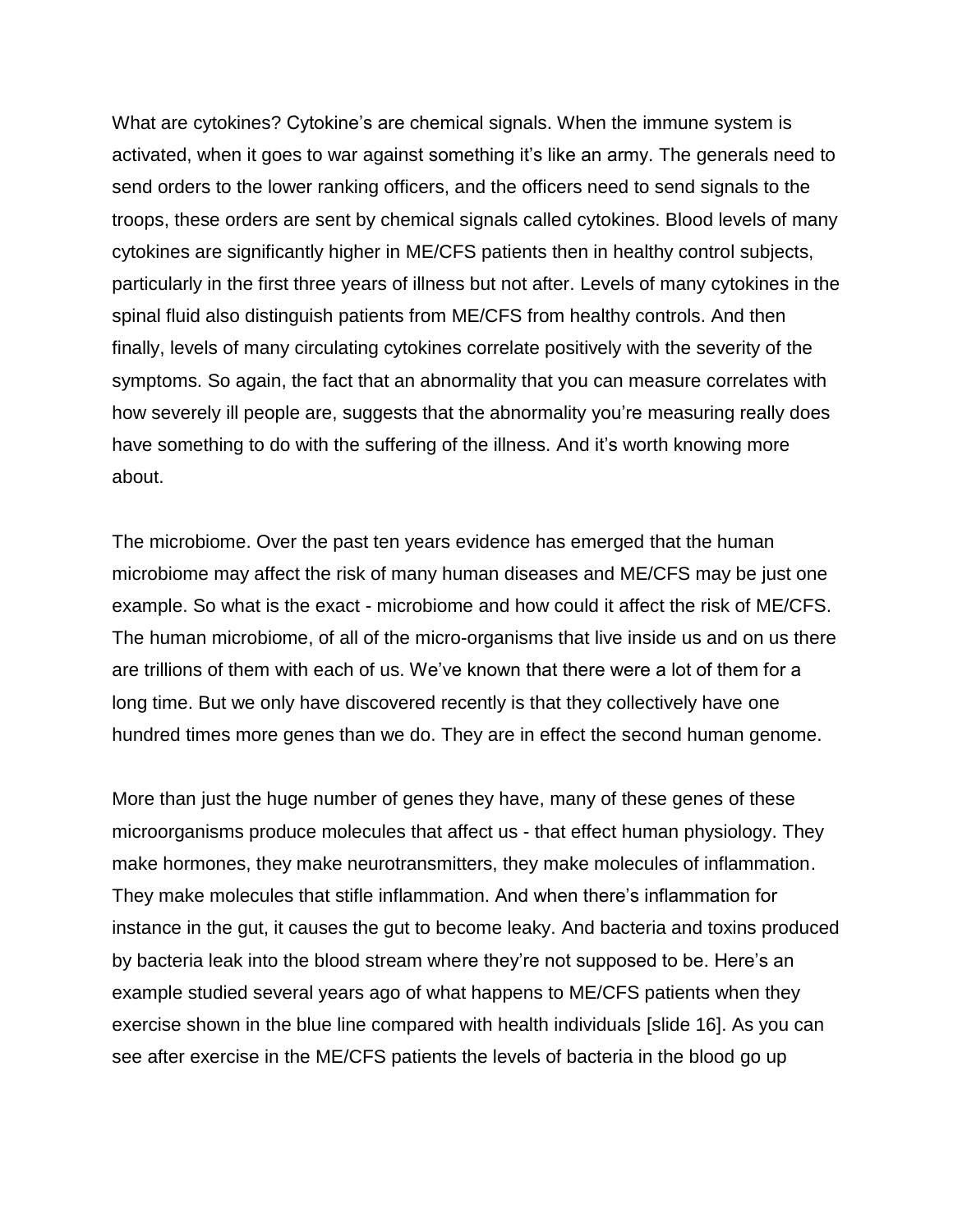What are cytokines? Cytokine's are chemical signals. When the immune system is activated, when it goes to war against something it's like an army. The generals need to send orders to the lower ranking officers, and the officers need to send signals to the troops, these orders are sent by chemical signals called cytokines. Blood levels of many cytokines are significantly higher in ME/CFS patients then in healthy control subjects, particularly in the first three years of illness but not after. Levels of many cytokines in the spinal fluid also distinguish patients from ME/CFS from healthy controls. And then finally, levels of many circulating cytokines correlate positively with the severity of the symptoms. So again, the fact that an abnormality that you can measure correlates with how severely ill people are, suggests that the abnormality you're measuring really does have something to do with the suffering of the illness. And it's worth knowing more about.

The microbiome. Over the past ten years evidence has emerged that the human microbiome may affect the risk of many human diseases and ME/CFS may be just one example. So what is the exact - microbiome and how could it affect the risk of ME/CFS. The human microbiome, of all of the micro-organisms that live inside us and on us there are trillions of them with each of us. We've known that there were a lot of them for a long time. But we only have discovered recently is that they collectively have one hundred times more genes than we do. They are in effect the second human genome.

More than just the huge number of genes they have, many of these genes of these microorganisms produce molecules that affect us - that effect human physiology. They make hormones, they make neurotransmitters, they make molecules of inflammation. They make molecules that stifle inflammation. And when there's inflammation for instance in the gut, it causes the gut to become leaky. And bacteria and toxins produced by bacteria leak into the blood stream where they're not supposed to be. Here's an example studied several years ago of what happens to ME/CFS patients when they exercise shown in the blue line compared with health individuals [slide 16]. As you can see after exercise in the ME/CFS patients the levels of bacteria in the blood go up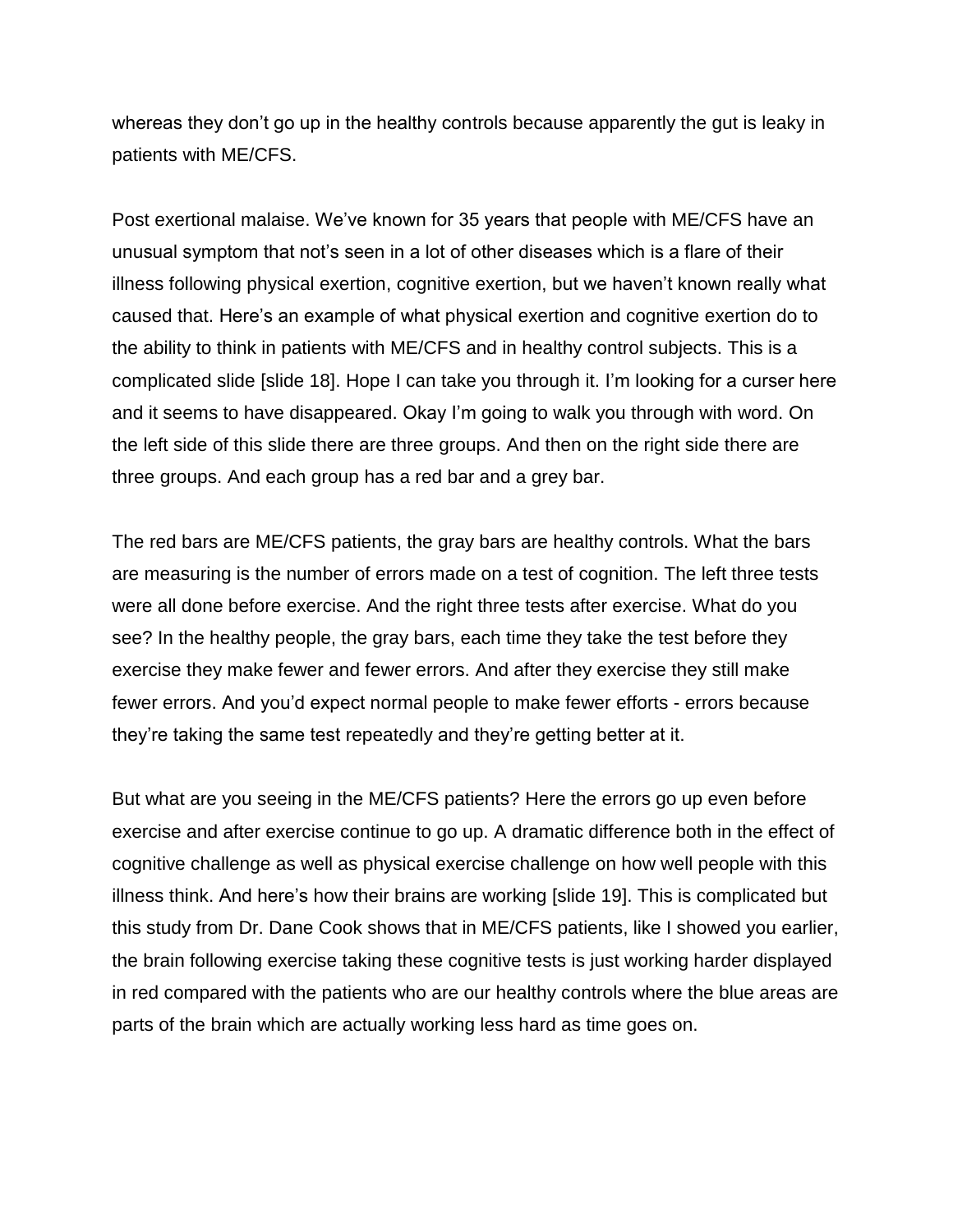whereas they don't go up in the healthy controls because apparently the gut is leaky in patients with ME/CFS.

Post exertional malaise. We've known for 35 years that people with ME/CFS have an unusual symptom that not's seen in a lot of other diseases which is a flare of their illness following physical exertion, cognitive exertion, but we haven't known really what caused that. Here's an example of what physical exertion and cognitive exertion do to the ability to think in patients with ME/CFS and in healthy control subjects. This is a complicated slide [slide 18]. Hope I can take you through it. I'm looking for a curser here and it seems to have disappeared. Okay I'm going to walk you through with word. On the left side of this slide there are three groups. And then on the right side there are three groups. And each group has a red bar and a grey bar.

The red bars are ME/CFS patients, the gray bars are healthy controls. What the bars are measuring is the number of errors made on a test of cognition. The left three tests were all done before exercise. And the right three tests after exercise. What do you see? In the healthy people, the gray bars, each time they take the test before they exercise they make fewer and fewer errors. And after they exercise they still make fewer errors. And you'd expect normal people to make fewer efforts - errors because they're taking the same test repeatedly and they're getting better at it.

But what are you seeing in the ME/CFS patients? Here the errors go up even before exercise and after exercise continue to go up. A dramatic difference both in the effect of cognitive challenge as well as physical exercise challenge on how well people with this illness think. And here's how their brains are working [slide 19]. This is complicated but this study from Dr. Dane Cook shows that in ME/CFS patients, like I showed you earlier, the brain following exercise taking these cognitive tests is just working harder displayed in red compared with the patients who are our healthy controls where the blue areas are parts of the brain which are actually working less hard as time goes on.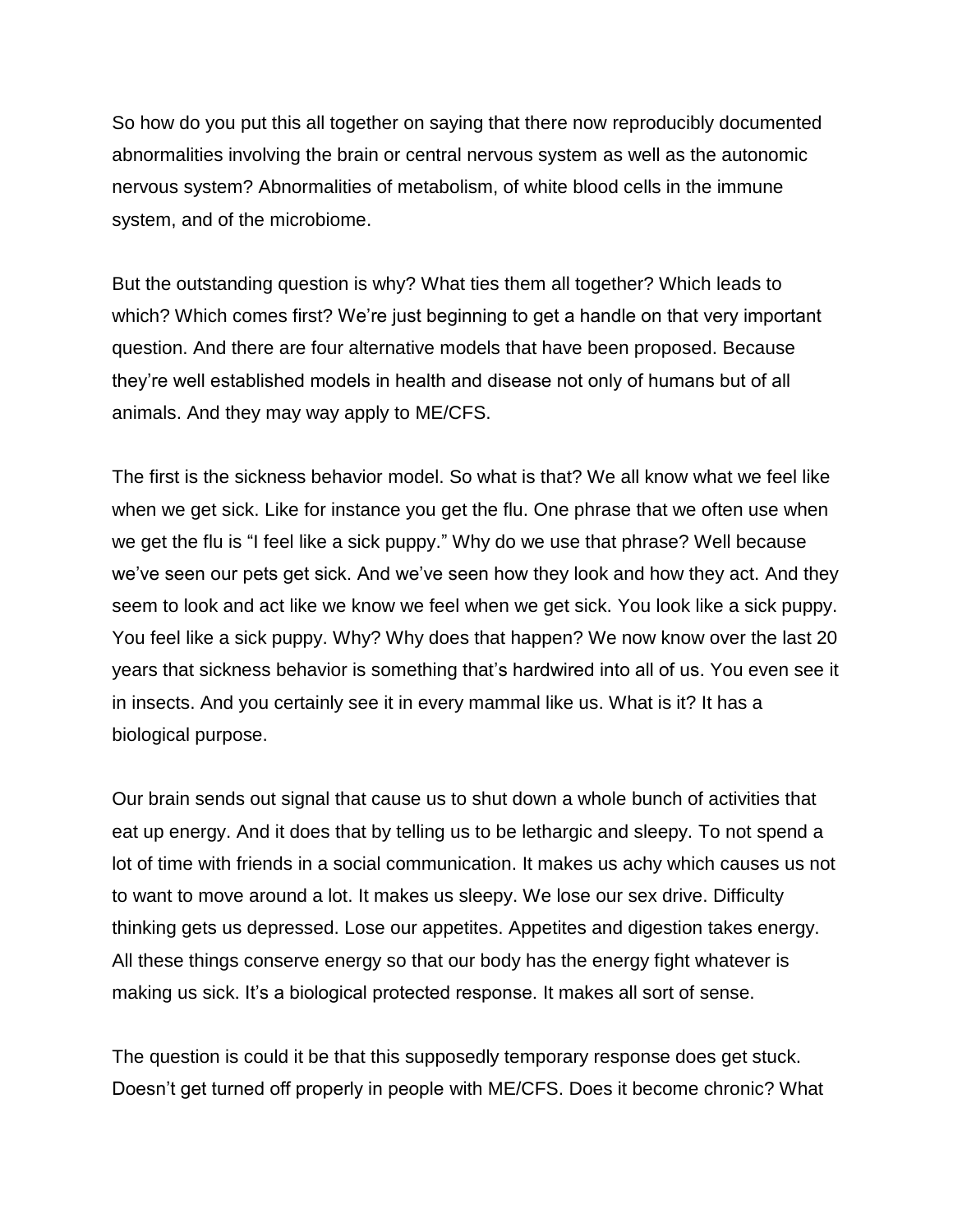So how do you put this all together on saying that there now reproducibly documented abnormalities involving the brain or central nervous system as well as the autonomic nervous system? Abnormalities of metabolism, of white blood cells in the immune system, and of the microbiome.

But the outstanding question is why? What ties them all together? Which leads to which? Which comes first? We're just beginning to get a handle on that very important question. And there are four alternative models that have been proposed. Because they're well established models in health and disease not only of humans but of all animals. And they may way apply to ME/CFS.

The first is the sickness behavior model. So what is that? We all know what we feel like when we get sick. Like for instance you get the flu. One phrase that we often use when we get the flu is "I feel like a sick puppy." Why do we use that phrase? Well because we've seen our pets get sick. And we've seen how they look and how they act. And they seem to look and act like we know we feel when we get sick. You look like a sick puppy. You feel like a sick puppy. Why? Why does that happen? We now know over the last 20 years that sickness behavior is something that's hardwired into all of us. You even see it in insects. And you certainly see it in every mammal like us. What is it? It has a biological purpose.

Our brain sends out signal that cause us to shut down a whole bunch of activities that eat up energy. And it does that by telling us to be lethargic and sleepy. To not spend a lot of time with friends in a social communication. It makes us achy which causes us not to want to move around a lot. It makes us sleepy. We lose our sex drive. Difficulty thinking gets us depressed. Lose our appetites. Appetites and digestion takes energy. All these things conserve energy so that our body has the energy fight whatever is making us sick. It's a biological protected response. It makes all sort of sense.

The question is could it be that this supposedly temporary response does get stuck. Doesn't get turned off properly in people with ME/CFS. Does it become chronic? What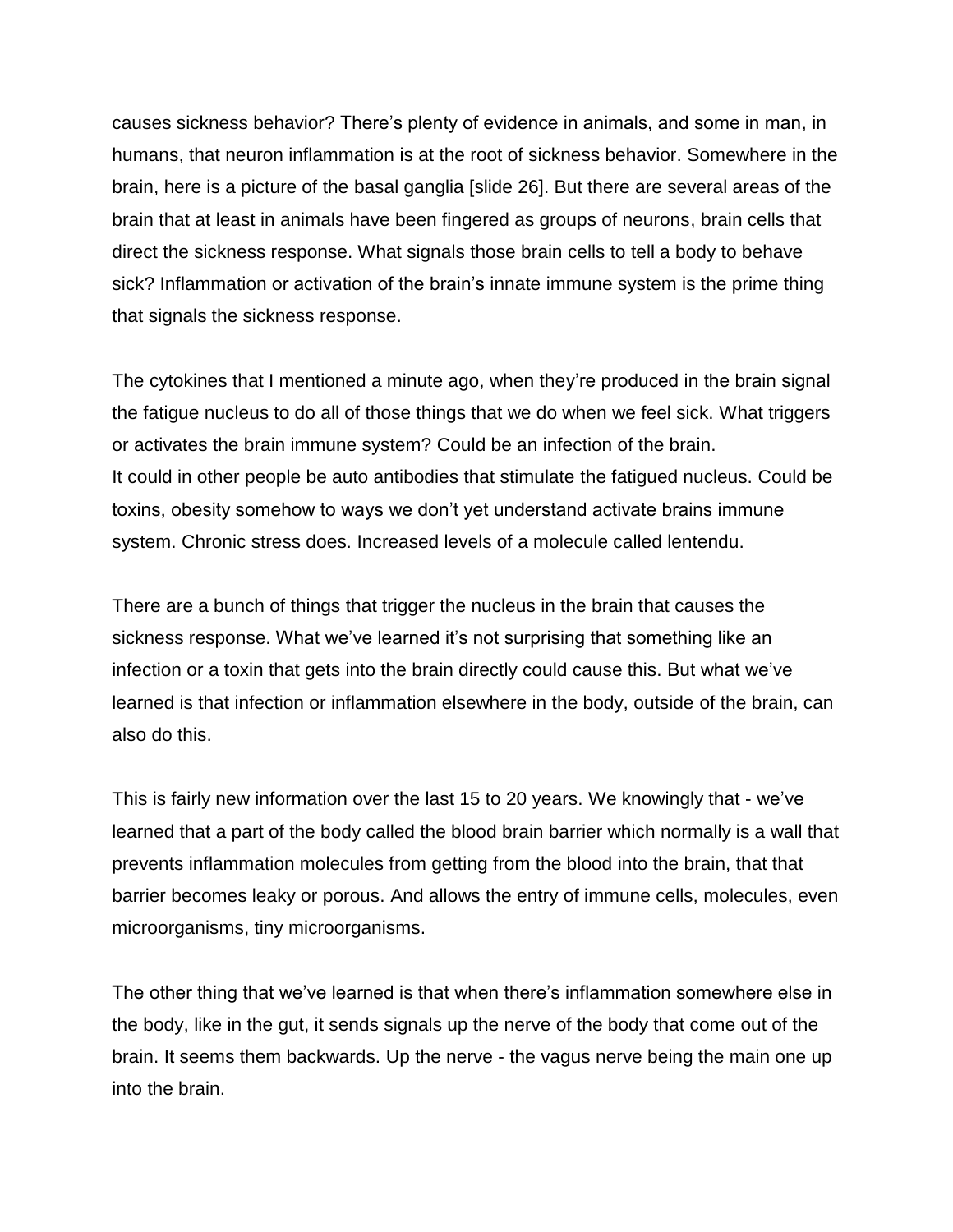causes sickness behavior? There's plenty of evidence in animals, and some in man, in humans, that neuron inflammation is at the root of sickness behavior. Somewhere in the brain, here is a picture of the basal ganglia [slide 26]. But there are several areas of the brain that at least in animals have been fingered as groups of neurons, brain cells that direct the sickness response. What signals those brain cells to tell a body to behave sick? Inflammation or activation of the brain's innate immune system is the prime thing that signals the sickness response.

The cytokines that I mentioned a minute ago, when they're produced in the brain signal the fatigue nucleus to do all of those things that we do when we feel sick. What triggers or activates the brain immune system? Could be an infection of the brain. It could in other people be auto antibodies that stimulate the fatigued nucleus. Could be toxins, obesity somehow to ways we don't yet understand activate brains immune system. Chronic stress does. Increased levels of a molecule called lentendu.

There are a bunch of things that trigger the nucleus in the brain that causes the sickness response. What we've learned it's not surprising that something like an infection or a toxin that gets into the brain directly could cause this. But what we've learned is that infection or inflammation elsewhere in the body, outside of the brain, can also do this.

This is fairly new information over the last 15 to 20 years. We knowingly that - we've learned that a part of the body called the blood brain barrier which normally is a wall that prevents inflammation molecules from getting from the blood into the brain, that that barrier becomes leaky or porous. And allows the entry of immune cells, molecules, even microorganisms, tiny microorganisms.

The other thing that we've learned is that when there's inflammation somewhere else in the body, like in the gut, it sends signals up the nerve of the body that come out of the brain. It seems them backwards. Up the nerve - the vagus nerve being the main one up into the brain.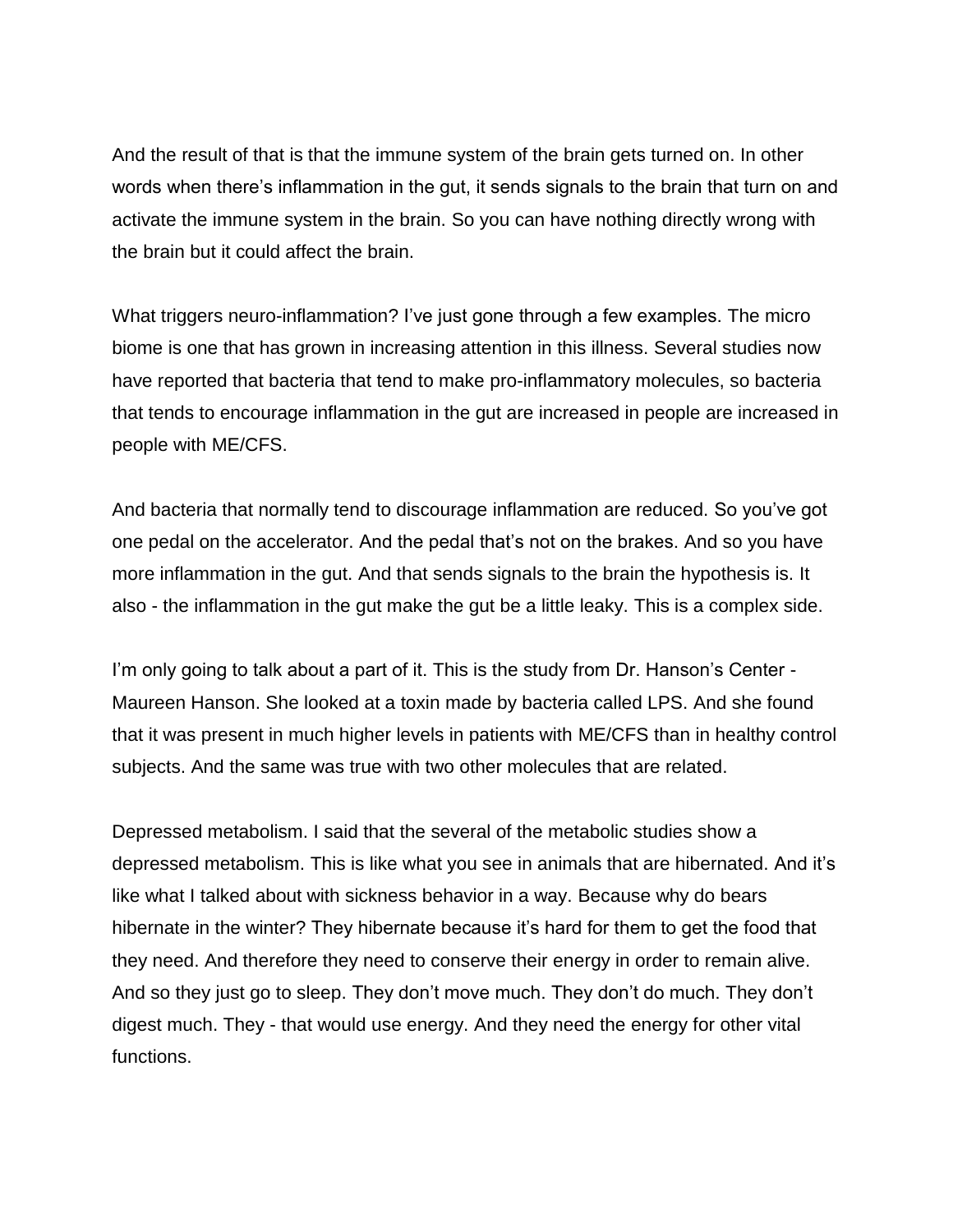And the result of that is that the immune system of the brain gets turned on. In other words when there's inflammation in the gut, it sends signals to the brain that turn on and activate the immune system in the brain. So you can have nothing directly wrong with the brain but it could affect the brain.

What triggers neuro-inflammation? I've just gone through a few examples. The micro biome is one that has grown in increasing attention in this illness. Several studies now have reported that bacteria that tend to make pro-inflammatory molecules, so bacteria that tends to encourage inflammation in the gut are increased in people are increased in people with ME/CFS.

And bacteria that normally tend to discourage inflammation are reduced. So you've got one pedal on the accelerator. And the pedal that's not on the brakes. And so you have more inflammation in the gut. And that sends signals to the brain the hypothesis is. It also - the inflammation in the gut make the gut be a little leaky. This is a complex side.

I'm only going to talk about a part of it. This is the study from Dr. Hanson's Center -Maureen Hanson. She looked at a toxin made by bacteria called LPS. And she found that it was present in much higher levels in patients with ME/CFS than in healthy control subjects. And the same was true with two other molecules that are related.

Depressed metabolism. I said that the several of the metabolic studies show a depressed metabolism. This is like what you see in animals that are hibernated. And it's like what I talked about with sickness behavior in a way. Because why do bears hibernate in the winter? They hibernate because it's hard for them to get the food that they need. And therefore they need to conserve their energy in order to remain alive. And so they just go to sleep. They don't move much. They don't do much. They don't digest much. They - that would use energy. And they need the energy for other vital functions.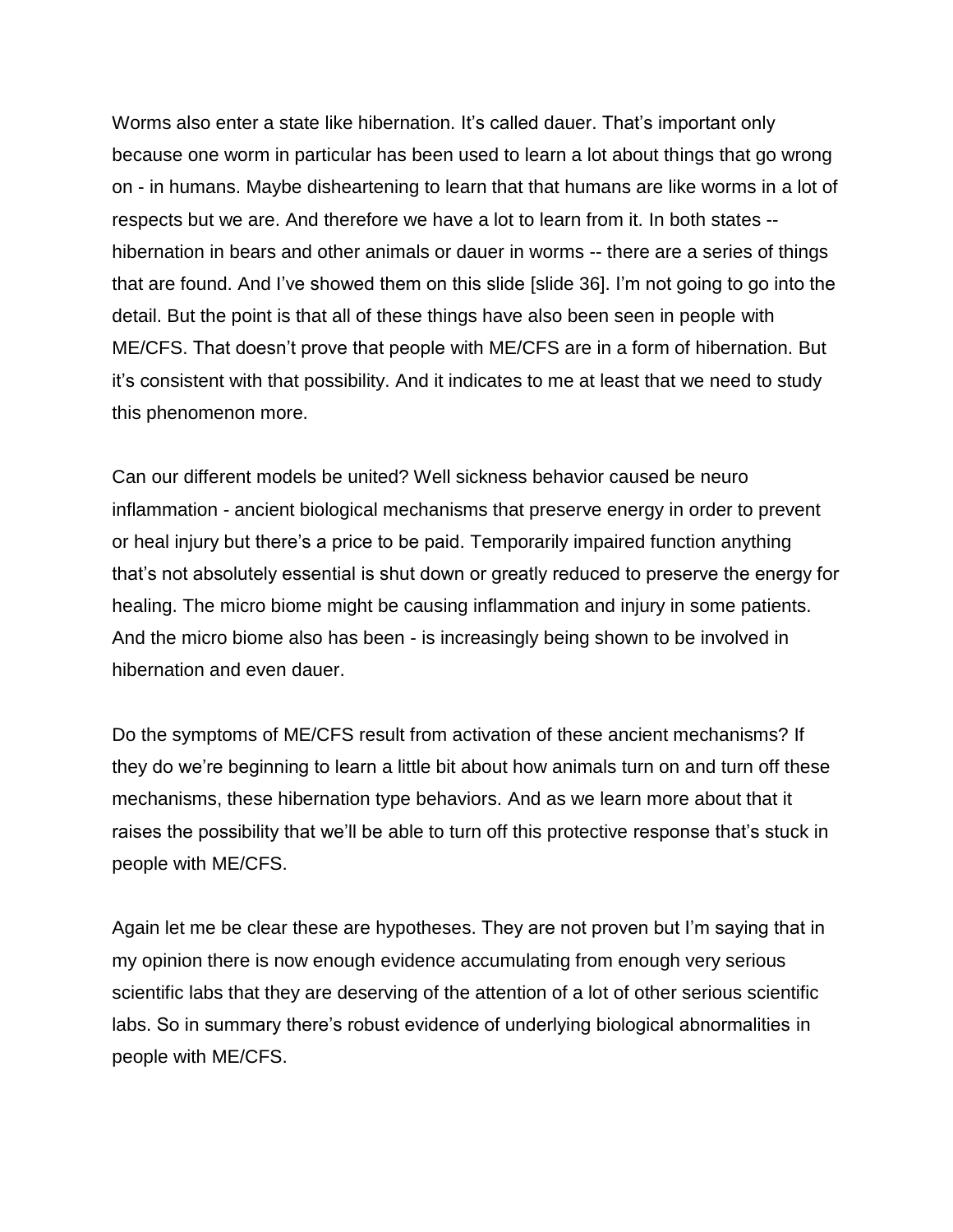Worms also enter a state like hibernation. It's called dauer. That's important only because one worm in particular has been used to learn a lot about things that go wrong on - in humans. Maybe disheartening to learn that that humans are like worms in a lot of respects but we are. And therefore we have a lot to learn from it. In both states - hibernation in bears and other animals or dauer in worms -- there are a series of things that are found. And I've showed them on this slide [slide 36]. I'm not going to go into the detail. But the point is that all of these things have also been seen in people with ME/CFS. That doesn't prove that people with ME/CFS are in a form of hibernation. But it's consistent with that possibility. And it indicates to me at least that we need to study this phenomenon more.

Can our different models be united? Well sickness behavior caused be neuro inflammation - ancient biological mechanisms that preserve energy in order to prevent or heal injury but there's a price to be paid. Temporarily impaired function anything that's not absolutely essential is shut down or greatly reduced to preserve the energy for healing. The micro biome might be causing inflammation and injury in some patients. And the micro biome also has been - is increasingly being shown to be involved in hibernation and even dauer.

Do the symptoms of ME/CFS result from activation of these ancient mechanisms? If they do we're beginning to learn a little bit about how animals turn on and turn off these mechanisms, these hibernation type behaviors. And as we learn more about that it raises the possibility that we'll be able to turn off this protective response that's stuck in people with ME/CFS.

Again let me be clear these are hypotheses. They are not proven but I'm saying that in my opinion there is now enough evidence accumulating from enough very serious scientific labs that they are deserving of the attention of a lot of other serious scientific labs. So in summary there's robust evidence of underlying biological abnormalities in people with ME/CFS.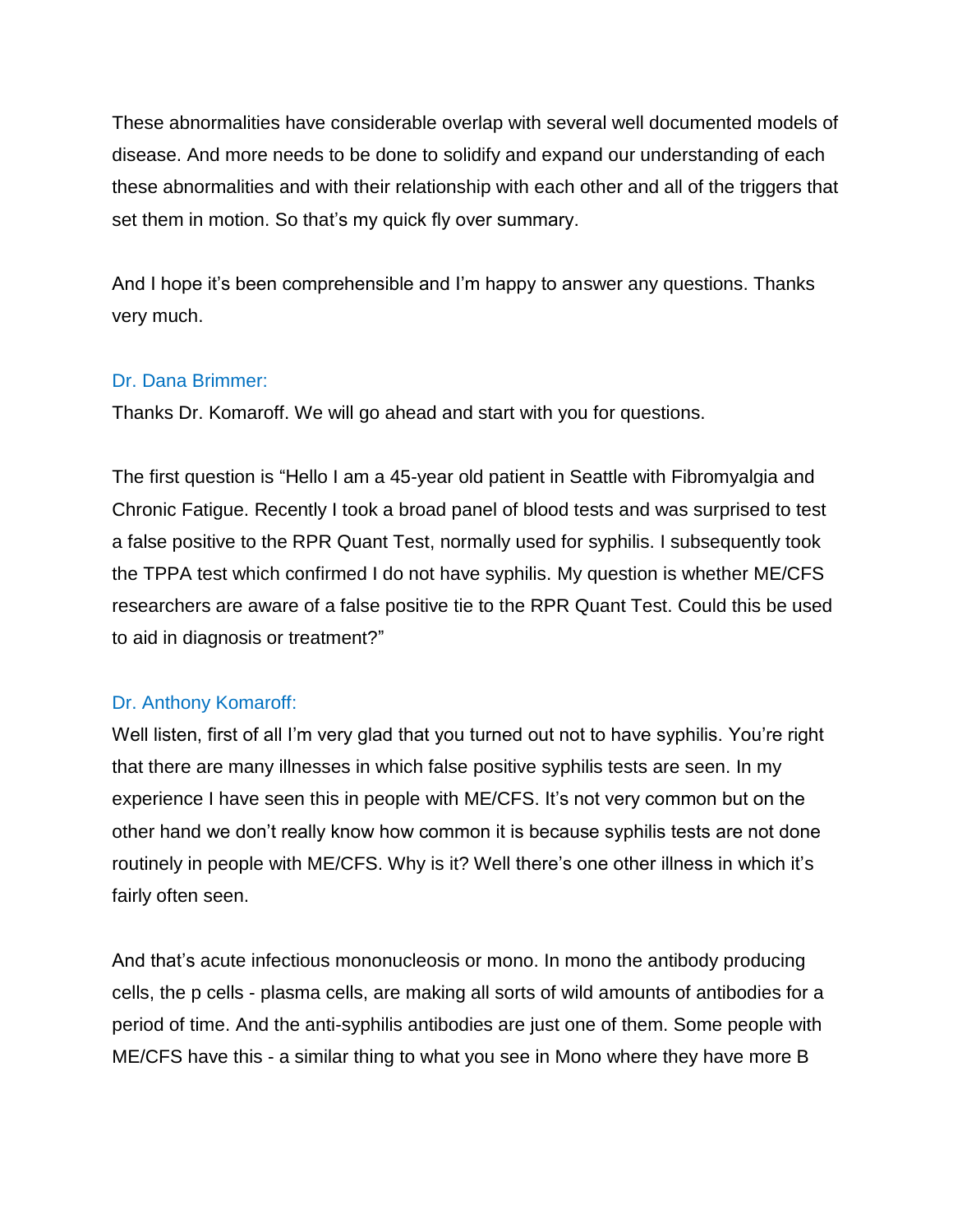These abnormalities have considerable overlap with several well documented models of disease. And more needs to be done to solidify and expand our understanding of each these abnormalities and with their relationship with each other and all of the triggers that set them in motion. So that's my quick fly over summary.

And I hope it's been comprehensible and I'm happy to answer any questions. Thanks very much.

## Dr. Dana Brimmer:

Thanks Dr. Komaroff. We will go ahead and start with you for questions.

The first question is "Hello I am a 45-year old patient in Seattle with Fibromyalgia and Chronic Fatigue. Recently I took a broad panel of blood tests and was surprised to test a false positive to the RPR Quant Test, normally used for syphilis. I subsequently took the TPPA test which confirmed I do not have syphilis. My question is whether ME/CFS researchers are aware of a false positive tie to the RPR Quant Test. Could this be used to aid in diagnosis or treatment?"

# Dr. Anthony Komaroff:

Well listen, first of all I'm very glad that you turned out not to have syphilis. You're right that there are many illnesses in which false positive syphilis tests are seen. In my experience I have seen this in people with ME/CFS. It's not very common but on the other hand we don't really know how common it is because syphilis tests are not done routinely in people with ME/CFS. Why is it? Well there's one other illness in which it's fairly often seen.

And that's acute infectious mononucleosis or mono. In mono the antibody producing cells, the p cells - plasma cells, are making all sorts of wild amounts of antibodies for a period of time. And the anti-syphilis antibodies are just one of them. Some people with ME/CFS have this - a similar thing to what you see in Mono where they have more B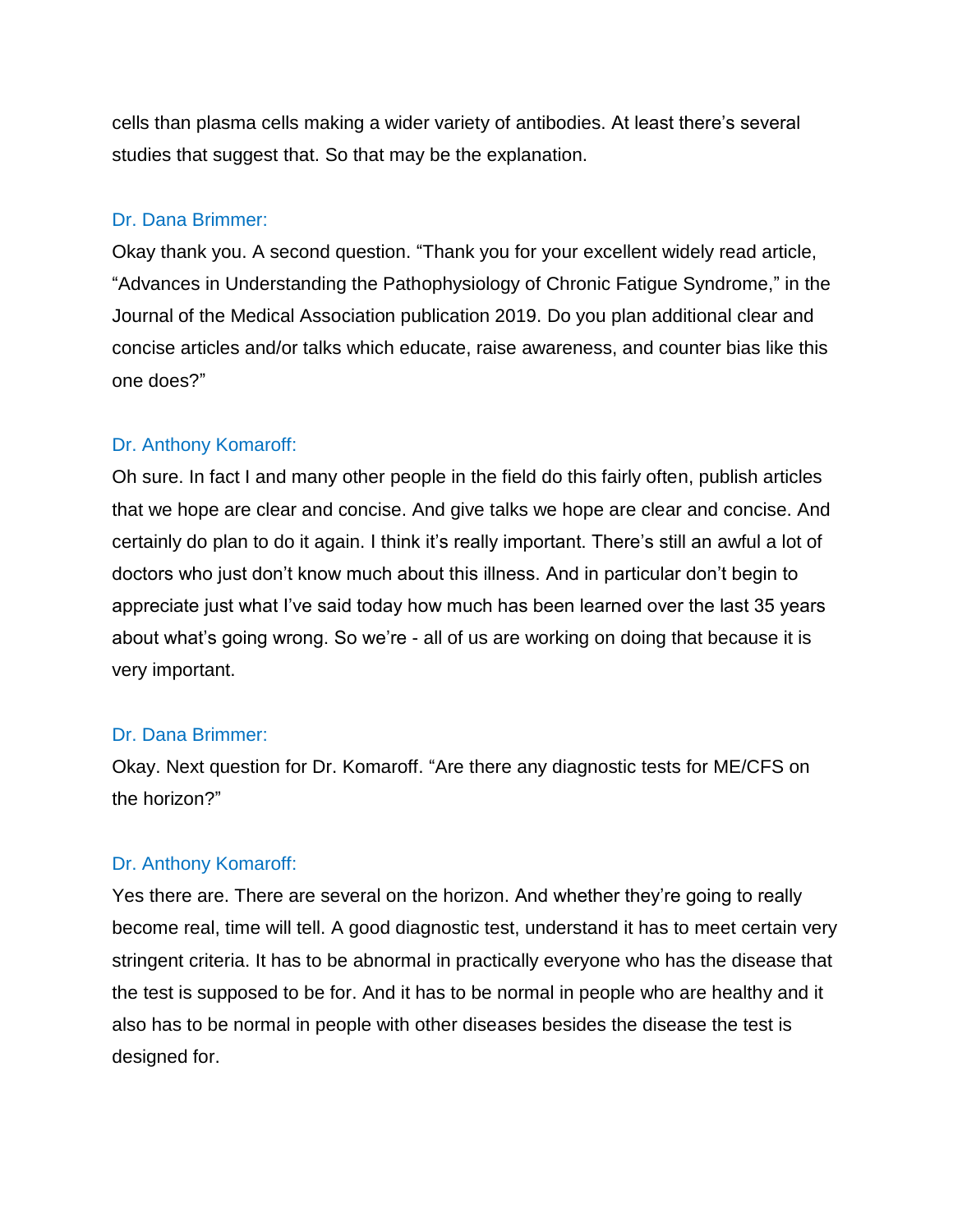cells than plasma cells making a wider variety of antibodies. At least there's several studies that suggest that. So that may be the explanation.

## Dr. Dana Brimmer:

Okay thank you. A second question. "Thank you for your excellent widely read article, "Advances in Understanding the Pathophysiology of Chronic Fatigue Syndrome," in the Journal of the Medical Association publication 2019. Do you plan additional clear and concise articles and/or talks which educate, raise awareness, and counter bias like this one does?"

# Dr. Anthony Komaroff:

Oh sure. In fact I and many other people in the field do this fairly often, publish articles that we hope are clear and concise. And give talks we hope are clear and concise. And certainly do plan to do it again. I think it's really important. There's still an awful a lot of doctors who just don't know much about this illness. And in particular don't begin to appreciate just what I've said today how much has been learned over the last 35 years about what's going wrong. So we're - all of us are working on doing that because it is very important.

#### Dr. Dana Brimmer:

Okay. Next question for Dr. Komaroff. "Are there any diagnostic tests for ME/CFS on the horizon?"

#### Dr. Anthony Komaroff:

Yes there are. There are several on the horizon. And whether they're going to really become real, time will tell. A good diagnostic test, understand it has to meet certain very stringent criteria. It has to be abnormal in practically everyone who has the disease that the test is supposed to be for. And it has to be normal in people who are healthy and it also has to be normal in people with other diseases besides the disease the test is designed for.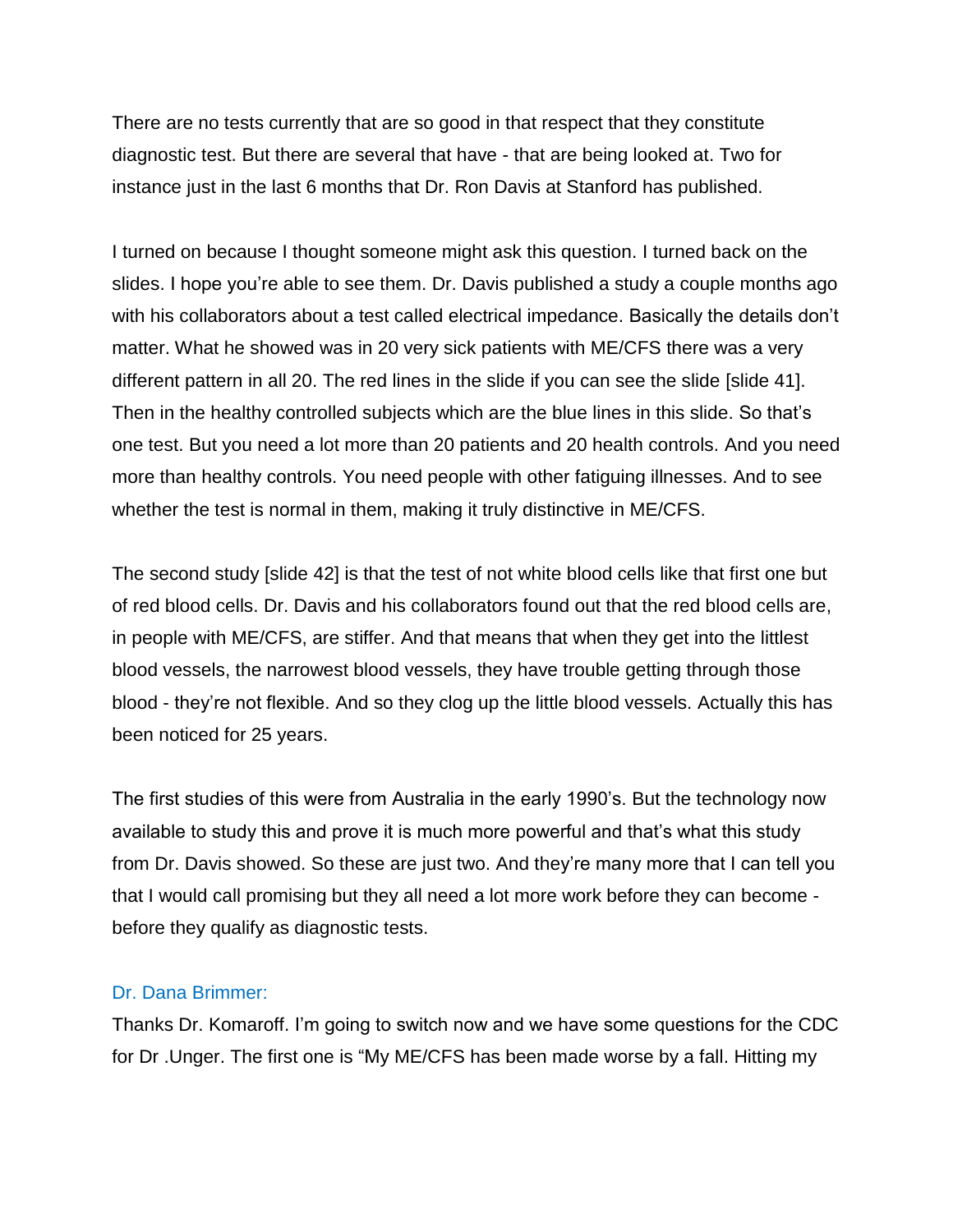There are no tests currently that are so good in that respect that they constitute diagnostic test. But there are several that have - that are being looked at. Two for instance just in the last 6 months that Dr. Ron Davis at Stanford has published.

I turned on because I thought someone might ask this question. I turned back on the slides. I hope you're able to see them. Dr. Davis published a study a couple months ago with his collaborators about a test called electrical impedance. Basically the details don't matter. What he showed was in 20 very sick patients with ME/CFS there was a very different pattern in all 20. The red lines in the slide if you can see the slide [slide 41]. Then in the healthy controlled subjects which are the blue lines in this slide. So that's one test. But you need a lot more than 20 patients and 20 health controls. And you need more than healthy controls. You need people with other fatiguing illnesses. And to see whether the test is normal in them, making it truly distinctive in ME/CFS.

The second study [slide 42] is that the test of not white blood cells like that first one but of red blood cells. Dr. Davis and his collaborators found out that the red blood cells are, in people with ME/CFS, are stiffer. And that means that when they get into the littlest blood vessels, the narrowest blood vessels, they have trouble getting through those blood - they're not flexible. And so they clog up the little blood vessels. Actually this has been noticed for 25 years.

The first studies of this were from Australia in the early 1990's. But the technology now available to study this and prove it is much more powerful and that's what this study from Dr. Davis showed. So these are just two. And they're many more that I can tell you that I would call promising but they all need a lot more work before they can become before they qualify as diagnostic tests.

#### Dr. Dana Brimmer:

Thanks Dr. Komaroff. I'm going to switch now and we have some questions for the CDC for Dr .Unger. The first one is "My ME/CFS has been made worse by a fall. Hitting my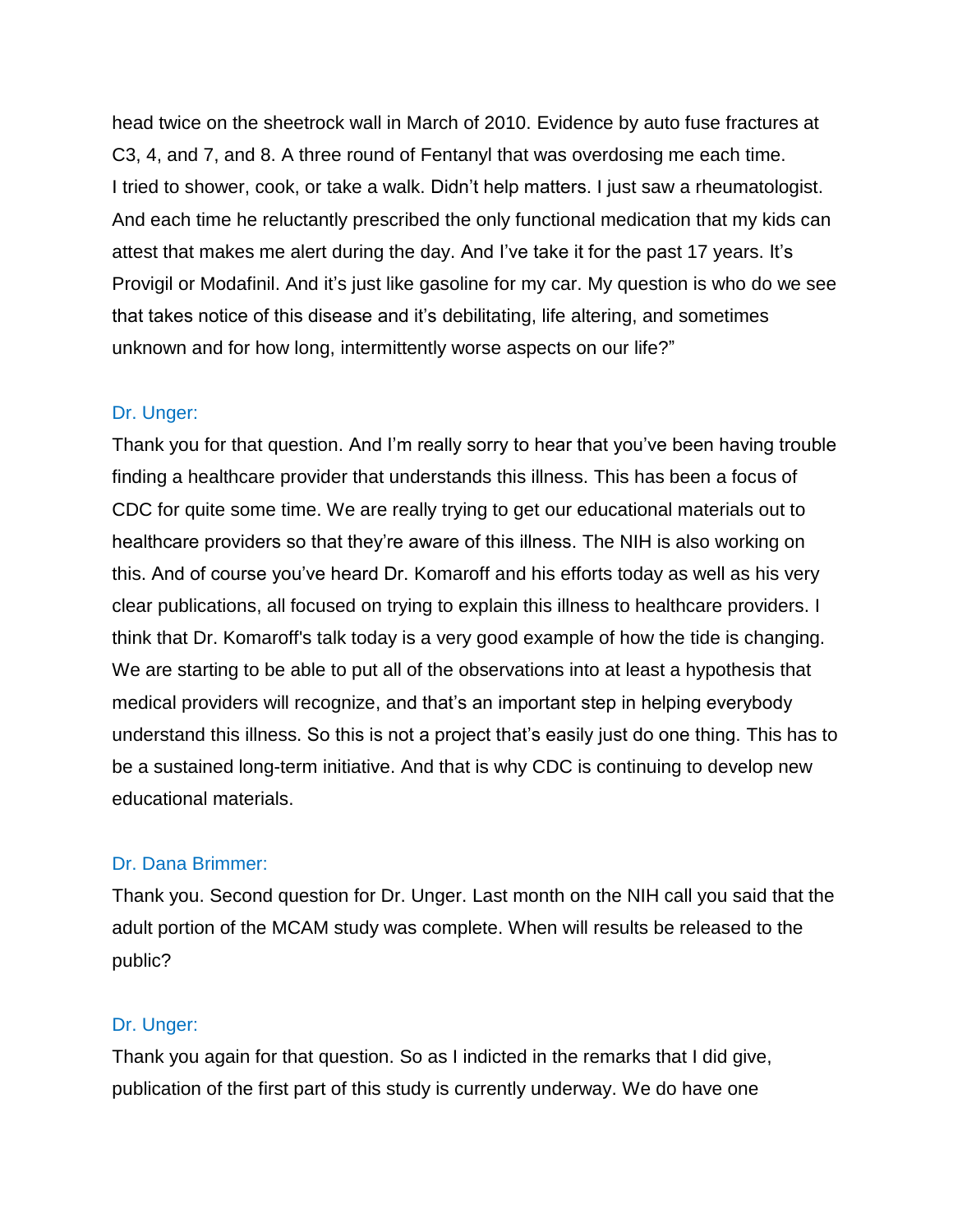head twice on the sheetrock wall in March of 2010. Evidence by auto fuse fractures at C3, 4, and 7, and 8. A three round of Fentanyl that was overdosing me each time. I tried to shower, cook, or take a walk. Didn't help matters. I just saw a rheumatologist. And each time he reluctantly prescribed the only functional medication that my kids can attest that makes me alert during the day. And I've take it for the past 17 years. It's Provigil or Modafinil. And it's just like gasoline for my car. My question is who do we see that takes notice of this disease and it's debilitating, life altering, and sometimes unknown and for how long, intermittently worse aspects on our life?"

#### Dr. Unger:

Thank you for that question. And I'm really sorry to hear that you've been having trouble finding a healthcare provider that understands this illness. This has been a focus of CDC for quite some time. We are really trying to get our educational materials out to healthcare providers so that they're aware of this illness. The NIH is also working on this. And of course you've heard Dr. Komaroff and his efforts today as well as his very clear publications, all focused on trying to explain this illness to healthcare providers. I think that Dr. Komaroff's talk today is a very good example of how the tide is changing. We are starting to be able to put all of the observations into at least a hypothesis that medical providers will recognize, and that's an important step in helping everybody understand this illness. So this is not a project that's easily just do one thing. This has to be a sustained long-term initiative. And that is why CDC is continuing to develop new educational materials.

#### Dr. Dana Brimmer:

Thank you. Second question for Dr. Unger. Last month on the NIH call you said that the adult portion of the MCAM study was complete. When will results be released to the public?

#### Dr. Unger:

Thank you again for that question. So as I indicted in the remarks that I did give, publication of the first part of this study is currently underway. We do have one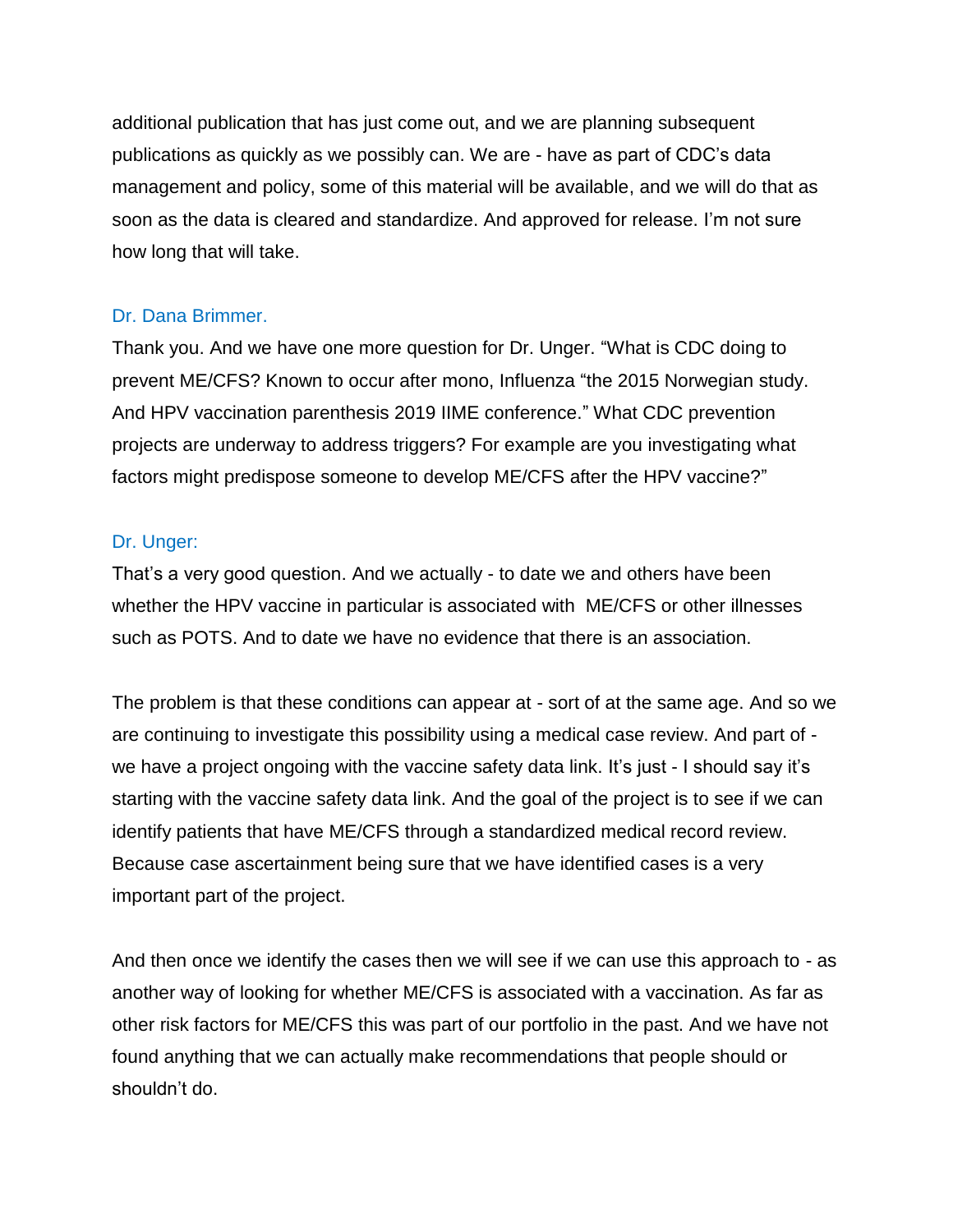additional publication that has just come out, and we are planning subsequent publications as quickly as we possibly can. We are - have as part of CDC's data management and policy, some of this material will be available, and we will do that as soon as the data is cleared and standardize. And approved for release. I'm not sure how long that will take.

## Dr. Dana Brimmer.

Thank you. And we have one more question for Dr. Unger. "What is CDC doing to prevent ME/CFS? Known to occur after mono, Influenza "the 2015 Norwegian study. And HPV vaccination parenthesis 2019 IIME conference." What CDC prevention projects are underway to address triggers? For example are you investigating what factors might predispose someone to develop ME/CFS after the HPV vaccine?"

#### Dr. Unger:

That's a very good question. And we actually - to date we and others have been whether the HPV vaccine in particular is associated with ME/CFS or other illnesses such as POTS. And to date we have no evidence that there is an association.

The problem is that these conditions can appear at - sort of at the same age. And so we are continuing to investigate this possibility using a medical case review. And part of we have a project ongoing with the vaccine safety data link. It's just - I should say it's starting with the vaccine safety data link. And the goal of the project is to see if we can identify patients that have ME/CFS through a standardized medical record review. Because case ascertainment being sure that we have identified cases is a very important part of the project.

And then once we identify the cases then we will see if we can use this approach to - as another way of looking for whether ME/CFS is associated with a vaccination. As far as other risk factors for ME/CFS this was part of our portfolio in the past. And we have not found anything that we can actually make recommendations that people should or shouldn't do.